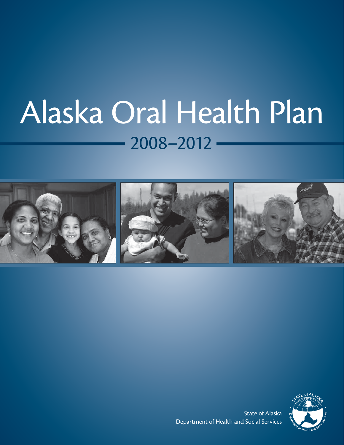# $-2008-2012-$ Alaska Oral Health Plan





State of Alaska Department of Health and Social Services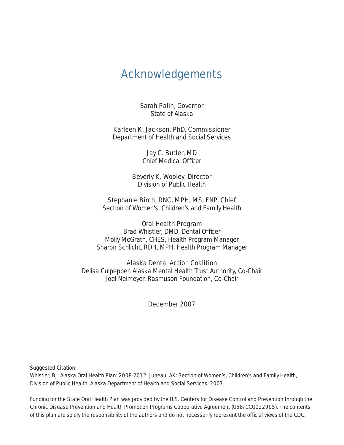# Acknowledgements

Sarah Palin, Governor State of Alaska

Karleen K. Jackson, PhD, Commissioner Department of Health and Social Services

> Jay C. Butler, MD Chief Medical Officer

Beverly K. Wooley, Director Division of Public Health

Stephanie Birch, RNC, MPH, MS, FNP, Chief

Section of Women's, Children's and Family Health

### Oral Health Program

Brad Whistler, DMD, Dental Officer Molly McGrath, CHES, Health Program Manager Sharon Schlicht, RDH, MPH, Health Program Manager

#### Alaska Dental Action Coalition

Delisa Culpepper, Alaska Mental Health Trust Authority, Co-Chair Joel Neimeyer, Rasmuson Foundation, Co-Chair

### December 2007

Suggested Citation:

Whistler, BJ. Alaska Oral Health Plan: 2008-2012. Juneau, AK: Section of Women's, Children's and Family Health, Division of Public Health, Alaska Department of Health and Social Services, 2007.

Funding for the State Oral Health Plan was provided by the U.S. Centers for Disease Control and Prevention through the Chronic Disease Prevention and Health Promotion Programs Cooperative Agreement (U58/CCU022905). The contents of this plan are solely the responsibility of the authors and do not necessarily represent the official views of the CDC.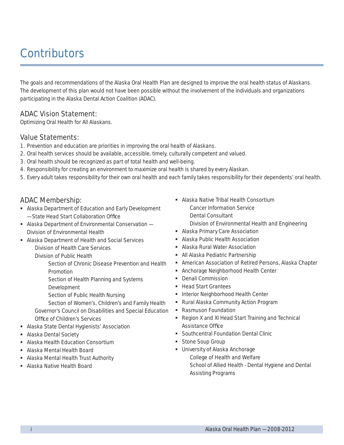# **Contributors**

The goals and recommendations of the Alaska Oral Health Plan are designed to improve the oral health status of Alaskans. The development of this plan would not have been possible without the involvement of the individuals and organizations participating in the Alaska Dental Action Coalition (ADAC).

### ADAC Vision Statement:

Optimizing Oral Health for All Alaskans.

### Value Statements:

- 1. Prevention and education are priorities in improving the oral health of Alaskans.
- 2. Oral health services should be available, accessible, timely, culturally competent and valued.
- 3. Oral health should be recognized as part of total health and well-being.
- 4. Responsibility for creating an environment to maximize oral health is shared by every Alaskan.
- 5. Every adult takes responsibility for their own oral health and each family takes responsibility for their dependents' oral health.

### ADAC Membership:

- Alaska Department of Education and Early Development - State Head Start Collaboration Office
- Alaska Department of Environmental Conservation Division of Environmental Health
- Alaska Department of Health and Social Services Division of Health Care Services
	- Division of Public Health

Section of Chronic Disease Prevention and Health Promotion

Section of Health Planning and Systems

Development

Section of Public Health Nursing

Section of Women's, Children's and Family Health Governor's Council on Disabilities and Special Education

- Office of Children's Services
- Alaska State Dental Hygienists' Association
- **Alaska Dental Society**
- **Alaska Health Education Consortium**
- Alaska Mental Health Board
- **Alaska Mental Health Trust Authority**
- Alaska Native Health Board
- **Alaska Native Tribal Health Consortium** Cancer Information Service Dental Consultant Division of Environmental Health and Engineering
- **Alaska Primary Care Association**
- Alaska Public Health Association
- Alaska Rural Water Association
- All Alaska Pediatric Partnership
- American Association of Retired Persons, Alaska Chapter
- Anchorage Neighborhood Health Center
- Denali Commission
- Head Start Grantees
- **Interior Neighborhood Health Center**
- Rural Alaska Community Action Program
- Rasmuson Foundation
- Region X and XI Head Start Training and Technical Assistance Office
- **Southcentral Foundation Dental Clinic**
- **Stone Soup Group**
- **University of Alaska Anchorage** College of Health and Welfare School of Allied Health - Dental Hygiene and Dental Assisting Programs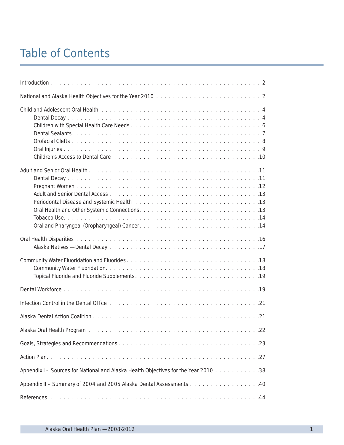# Table of Contents

| $\ldots$ .22                                                                        |
|-------------------------------------------------------------------------------------|
|                                                                                     |
|                                                                                     |
| Appendix I - Sources for National and Alaska Health Objectives for the Year 2010 38 |
| Appendix II – Summary of 2004 and 2005 Alaska Dental Assessments 40                 |
|                                                                                     |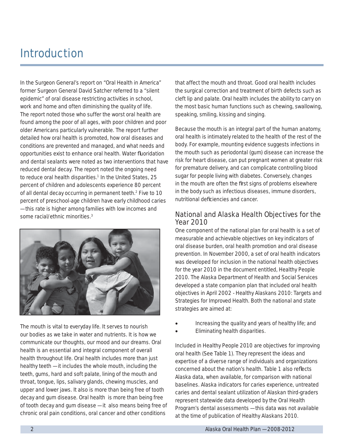# Introduction

In the Surgeon General's report on "Oral Health in America" former Surgeon General David Satcher referred to a "silent epidemic" of oral disease restricting activities in school, work and home and often diminishing the quality of life. The report noted those who suffer the worst oral health are found among the poor of all ages, with poor children and poor older Americans particularly vulnerable. The report further detailed how oral health is promoted, how oral diseases and conditions are prevented and managed, and what needs and opportunities exist to enhance oral health. Water fluoridation and dental sealants were noted as two interventions that have reduced dental decay. The report noted the ongoing need to reduce oral health disparities.<sup>1</sup> In the United States, 25 percent of children and adolescents experience 80 percent of all dental decay occurring in permanent teeth.2 Five to 10 percent of preschool-age children have early childhood caries — this rate is higher among families with low incomes and some racial/ethnic minorities.<sup>3</sup>



The mouth is vital to everyday life. It serves to nourish our bodies as we take in water and nutrients. It is how we communicate our thoughts, our mood and our dreams. Oral health is an essential and integral component of overall health throughout life. Oral health includes more than just healthy teeth — it includes the whole mouth, including the teeth, gums, hard and soft palate, lining of the mouth and throat, tongue, lips, salivary glands, chewing muscles, and upper and lower jaws. It also is more than being free of tooth decay and gum disease. Oral health is more than being free of tooth decay and gum disease — it also means being free of chronic oral pain conditions, oral cancer and other conditions

that affect the mouth and throat. Good oral health includes the surgical correction and treatment of birth defects such as cleft lip and palate. Oral health includes the ability to carry on the most basic human functions such as chewing, swallowing, speaking, smiling, kissing and singing.

Because the mouth is an integral part of the human anatomy, oral health is intimately related to the health of the rest of the body. For example, mounting evidence suggests infections in the mouth such as periodontal (gum) disease can increase the risk for heart disease, can put pregnant women at greater risk for premature delivery, and can complicate controlling blood sugar for people living with diabetes. Conversely, changes in the mouth are often the first signs of problems elsewhere in the body such as infectious diseases, immune disorders, nutritional deficiencies and cancer

### National and Alaska Health Objectives for the Year 2010

One component of the national plan for oral health is a set of measurable and achievable objectives on key indicators of oral disease burden, oral health promotion and oral disease prevention. In November 2000, a set of oral health indicators was developed for inclusion in the national health objectives for the year 2010 in the document entitled, *Healthy People 2010*. The Alaska Department of Health and Social Services developed a state companion plan that included oral health objectives in April 2002 - *Healthy Alaskans 2010: Targets and Strategies for Improved Health*. Both the national and state strategies are aimed at:

- Increasing the quality and years of healthy life; and
- Eliminating health disparities.

Included in *Healthy People 2010* are objectives for improving oral health (See Table 1). They represent the ideas and expertise of a diverse range of individuals and organizations concerned about the nation's health. Table 1 also reflects Alaska data, when available, for comparison with national baselines. Alaska indicators for caries experience, untreated caries and dental sealant utilization of Alaskan third-graders represent statewide data developed by the Oral Health Program's dental assessments — this data was not available at the time of publication of *Healthy Alaskans 2010*.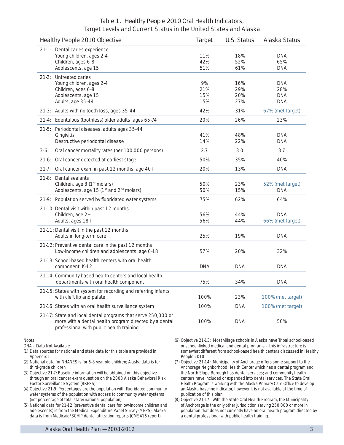### Table 1. *Healthy People 2010* Oral Health Indicators, Target Levels and Current Status in the United States and Alaska

| Healthy People 2010 Objective                                                                                                                                      | Target                  | <b>U.S. Status</b>       | Alaska Status                                 |
|--------------------------------------------------------------------------------------------------------------------------------------------------------------------|-------------------------|--------------------------|-----------------------------------------------|
| 21-1: Dental caries experience<br>Young children, ages 2-4<br>Children, ages 6-8<br>Adolescents, age 15                                                            | 11%<br>42%<br>51%       | 18%<br>52%<br>61%        | <b>DNA</b><br>65%<br><b>DNA</b>               |
| 21-2: Untreated caries<br>Young children, ages 2-4<br>Children, ages 6-8<br>Adolescents, age 15<br>Adults, age 35-44                                               | 9%<br>21%<br>15%<br>15% | 16%<br>29%<br>20%<br>27% | <b>DNA</b><br>28%<br><b>DNA</b><br><b>DNA</b> |
| 21-3: Adults with no tooth loss, ages 35-44                                                                                                                        | 42%                     | 31%                      | 67% (met target)                              |
| 21-4: Edentulous (toothless) older adults, ages 65-74                                                                                                              | 20%                     | 26%                      | 23%                                           |
| 21-5: Periodontal diseases, adults ages 35-44<br>Gingivitis<br>Destructive periodontal disease                                                                     | 41%<br>14%              | 48%<br>22%               | <b>DNA</b><br><b>DNA</b>                      |
| $3-6:$<br>Oral cancer mortality rates (per 100,000 persons)                                                                                                        | 2.7                     | 3.0                      | 3.7                                           |
| 21-6: Oral cancer detected at earliest stage                                                                                                                       | 50%                     | 35%                      | 40%                                           |
| 21-7:<br>Oral cancer exam in past 12 months, age 40+                                                                                                               | 20%                     | 13%                      | <b>DNA</b>                                    |
| 21-8: Dental sealants<br>Children, age 8 (1 <sup>st</sup> molars)<br>Adolescents, age 15 (1 <sup>st</sup> and 2 <sup>nd</sup> molars)                              | 50%<br>50%              | 23%<br>15%               | 52% (met target)<br><b>DNA</b>                |
| 21-9: Population served by fluoridated water systems                                                                                                               | 75%                     | 62%                      | 64%                                           |
| 21-10: Dental visit within past 12 months<br>Children, age 2+<br>Adults, ages 18+                                                                                  | 56%<br>56%              | 44%<br>44%               | <b>DNA</b><br>66% (met target)                |
| 21-11: Dental visit in the past 12 months<br>Adults in long-term care                                                                                              | 25%                     | 19%                      | <b>DNA</b>                                    |
| 21-12: Preventive dental care in the past 12 months<br>Low-income children and adolescents, age 0-18                                                               | 57%                     | 20%                      | 32%                                           |
| 21-13: School-based health centers with oral health<br>component, K-12                                                                                             | <b>DNA</b>              | <b>DNA</b>               | <b>DNA</b>                                    |
| 21-14: Community based health centers and local health<br>departments with oral health component                                                                   | 75%                     | 34%                      | <b>DNA</b>                                    |
| 21-15: States with system for recording and referring infants<br>with cleft lip and palate                                                                         | 100%                    | 23%                      | 100% (met target)                             |
| 21-16: States with an oral health surveillance system                                                                                                              | 100%                    | <b>DNA</b>               | 100% (met target)                             |
| 21-17: State and local dental programs that serve 250,000 or<br>more with a dental health program directed by a dental<br>professional with public health training | 100%                    | <b>DNA</b>               | 50%                                           |

Notes:

DNA – Data Not Available

- (1) Data sources for national and state data for this table are provided in Appendix 1
- (2) National data for NHANES is for 6-8 year old children; Alaska data is for third-grade children
- (3) Objective 21-7: Baseline information will be obtained on this objective through an oral cancer exam question on the 2008 Alaska Behavioral Risk Factor Surveillance System (BRFSS)
- (4) Objective 21-9: Percentages are the population with fluoridated community water systems of the population with access to community water systems (not percentage of total state/national population).
- (5) National data for 21-12 (preventive dental care for low-income children and adolescents) is from the Medical Expenditure Panel Survey (MEPS); Alaska data is from Medicaid/SCHIP dental utilization reports (CMS416 report)
- (6) Objective 21-13: Most village schools in Alaska have Tribal school-based or school-linked medical and dental programs – this infrastructure is somewhat different from school-based health centers discussed in Healthy People 2010.
- (7) Objective 21-14: Municipality of Anchorage offers some support to the Anchorage Neighborhood Health Center which has a dental program and the North Slope Borough has dental services; and community health centers have included or expanded into dental services. The State Oral Health Program is working with the Alaska Primary Care Office to develop an Alaska baseline indicator, however it is not available at the time of publication of this plan.
- (8) Objective 21-17: With the State Oral Health Program, the Municipality of Anchorage is the only other jurisdiction serving 250,000 or more in population that does not currently have an oral health program directed by a dental professional with public health training.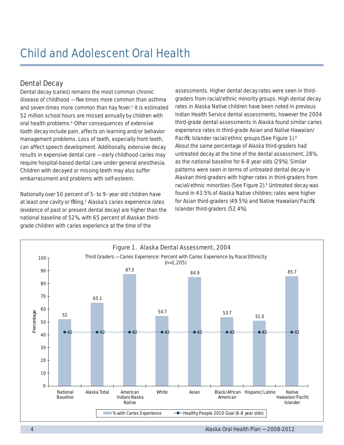### Dental Decay

Dental decay (caries) remains the most common chronic disease of childhood – five-times more common than asthma and seven-times more common than hay fever.<sup>1</sup> It is estimated 52 million school hours are missed annually by children with oral health problems.<sup>4</sup> Other consequences of extensive tooth decay include pain, affects on learning and/or behavior management problems. Loss of teeth, especially front teeth, can affect speech development. Additionally, extensive decay results in expensive dental care — early childhood caries may require hospital-based dental care under general anesthesia. Children with decayed or missing teeth may also suffer embarrassment and problems with self-esteem.

Nationally over 50 percent of 5- to 9- year old children have at least one cavity or filling.<sup>5</sup> Alaska's caries experience rates (evidence of past or present dental decay) are higher than the national baseline of 52%, with 65 percent of Alaskan thirdgrade children with caries experience at the time of the

assessments. Higher dental decay rates were seen in thirdgraders from racial/ethnic minority groups. High dental decay rates in Alaska Native children have been noted in previous Indian Health Service dental assessments, however the 2004 third-grade dental assessments in Alaska found similar caries experience rates in third-grade Asian and Native Hawaiian/ Pacific Islander racial/ethnic groups (See Figure 1).<sup>6</sup> About the same percentage of Alaska third-graders had untreated decay at the time of the dental assessment, 28%, as the national baseline for 6-8 year olds (29%). Similar patterns were seen in terms of untreated dental decay in Alaskan third-graders with higher rates in third-graders from racial/ethnic minorities (See Figure 2).<sup>6</sup> Untreated decay was found in 43.5% of Alaska Native children; rates were higher for Asian third-graders (49.5%) and Native Hawaiian/Pacific Islander third-graders (52.4%).

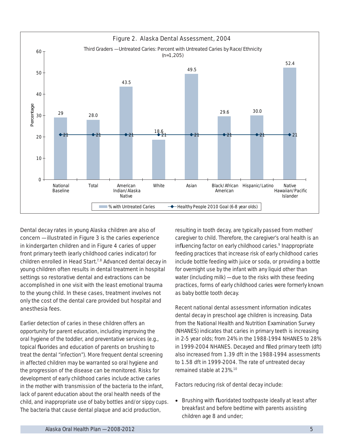

Dental decay rates in young Alaska children are also of concern — illustrated in Figure 3 is the caries experience in kindergarten children and in Figure 4 caries of upper front primary teeth (early childhood caries indicator) for children enrolled in Head Start.<sup>7,8</sup> Advanced dental decay in young children often results in dental treatment in hospital settings so restorative dental and extractions can be accomplished in one visit with the least emotional trauma to the young child. In these cases, treatment involves not only the cost of the dental care provided but hospital and anesthesia fees.

Earlier detection of caries in these children offers an opportunity for parent education, including improving the oral hygiene of the toddler, and preventative services (e.g., topical fluorides and education of parents on brushing to treat the dental "infection"). More frequent dental screening in affected children may be warranted so oral hygiene and the progression of the disease can be monitored. Risks for development of early childhood caries include active caries in the mother with transmission of the bacteria to the infant, lack of parent education about the oral health needs of the child, and inappropriate use of baby bottles and/or sippy cups. The bacteria that cause dental plaque and acid production,

resulting in tooth decay, are typically passed from mother/ caregiver to child. Therefore, the caregiver's oral health is an influencing factor on early childhood caries.<sup>9</sup> Inappropriate feeding practices that increase risk of early childhood caries include bottle feeding with juice or soda, or providing a bottle for overnight use by the infant with any liquid other than water (including milk) — due to the risks with these feeding practices, forms of early childhood caries were formerly known as baby bottle tooth decay.

Recent national dental assessment information indicates dental decay in preschool age children is increasing. Data from the National Health and Nutrition Examination Survey (NHANES) indicates that caries in primary teeth is increasing in 2-5 year olds; from 24% in the 1988-1994 NHANES to 28% in 1999-2004 NHANES. Decayed and filled primary teeth (dft) also increased from 1.39 dft in the 1988-1994 assessments to 1.58 dft in 1999-2004. The rate of untreated decay remained stable at 23%.10

Factors reducing risk of dental decay include:

• Brushing with fluoridated toothpaste ideally at least after breakfast and before bedtime with parents assisting children age 8 and under;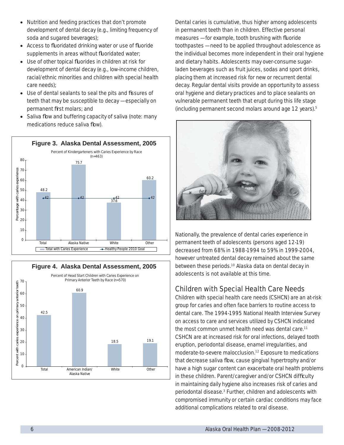- Nutrition and feeding practices that don't promote development of dental decay (e.g., limiting frequency of soda and sugared beverages);
- Access to fluoridated drinking water or use of fluoride supplements in areas without fluoridated water;
- Use of other topical fluorides in children at risk for development of dental decay (e.g., low-income children, racial/ethnic minorities and children with special health care needs);
- Use of dental sealants to seal the pits and fissures of teeth that may be susceptible to decay — especially on permanent first molars; and
- Saliva flow and buffering capacity of saliva (note: many medications reduce saliva flow).





Dental caries is cumulative, thus higher among adolescents in permanent teeth than in children. Effective personal  $measures - for example, tooth brushing with fluoride$ toothpastes — need to be applied throughout adolescence as the individual becomes more independent in their oral hygiene and dietary habits. Adolescents may over-consume sugarladen beverages such as fruit juices, sodas and sport drinks, placing them at increased risk for new or recurrent dental decay. Regular dental visits provide an opportunity to assess oral hygiene and dietary practices and to place sealants on vulnerable permanent teeth that erupt during this life stage (including permanent second molars around age 12 years).5



Nationally, the prevalence of dental caries experience in permanent teeth of adolescents (persons aged 12-19) decreased from 68% in 1988-1994 to 59% in 1999-2004, however untreated dental decay remained about the same between these periods.<sup>10</sup> Alaska data on dental decay in adolescents is not available at this time.

### Children with Special Health Care Needs

Children with special health care needs (CSHCN) are an at-risk group for caries and often face barriers to routine access to dental care. The 1994-1995 National Health Interview Survey on access to care and services utilized by CSHCN indicated the most common unmet health need was dental care.<sup>11</sup> CSHCN are at increased risk for oral infections, delayed tooth eruption, periodontal disease, enamel irregularities, and moderate-to-severe malocclusion.12 Exposure to medications that decrease saliva flow, cause gingival hypertrophy and/or have a high sugar content can exacerbate oral health problems in these children. Parent/caregiver and/or CSHCN difficulty in maintaining daily hygiene also increases risk of caries and periodontal disease.<sup>3</sup> Further, children and adolescents with compromised immunity or certain cardiac conditions may face additional complications related to oral disease.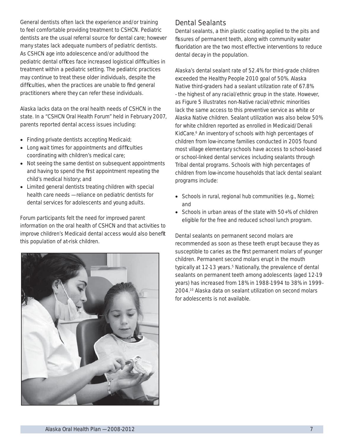General dentists often lack the experience and/or training to feel comfortable providing treatment to CSHCN. Pediatric dentists are the usual referral source for dental care; however many states lack adequate numbers of pediatric dentists. As CSHCN age into adolescence and/or adulthood the pediatric dental offices face increased logistical difficulties in treatment within a pediatric setting. The pediatric practices may continue to treat these older individuals, despite the difficulties, when the practices are unable to find general practitioners where they can refer these individuals.

Alaska lacks data on the oral health needs of CSHCN in the state. In a "CSHCN Oral Health Forum" held in February 2007, parents reported dental access issues including:

- Finding private dentists accepting Medicaid;
- Long wait times for appointments and difficulties coordinating with children's medical care;
- Not seeing the same dentist on subsequent appointments and having to spend the first appointment repeating the child's medical history; and
- Limited general dentists treating children with special health care needs — reliance on pediatric dentists for dental services for adolescents and young adults.

Forum participants felt the need for improved parent information on the oral health of CSHCN and that activities to improve children's Medicaid dental access would also benefit this population of at-risk children.



### Dental Sealants

Dental sealants, a thin plastic coating applied to the pits and fissures of permanent teeth, along with community water fluoridation are the two most effective interventions to reduce dental decay in the population.

Alaska's dental sealant rate of 52.4% for third-grade children exceeded the *Healthy People 2010* goal of 50%. Alaska Native third-graders had a sealant utilization rate of 67.8% - the highest of any racial/ethnic group in the state. However, as Figure 5 illustrates non-Native racial/ethnic minorities lack the same access to this preventive service as white or Alaska Native children. Sealant utilization was also below 50% for white children reported as enrolled in Medicaid/Denali KidCare.<sup>6</sup> An inventory of schools with high percentages of children from low-income families conducted in 2005 found most village elementary schools have access to school-based or school-linked dental services including sealants through Tribal dental programs. Schools with high percentages of children from low-income households that lack dental sealant programs include:

- Schools in rural, regional hub communities (e.g., Nome); and
- Schools in urban areas of the state with 50+% of children eligible for the free and reduced school lunch program.

Dental sealants on permanent second molars are recommended as soon as these teeth erupt because they as susceptible to caries as the first permanent molars of younger children. Permanent second molars erupt in the mouth typically at 12-13 years.<sup>5</sup> Nationally, the prevalence of dental sealants on permanent teeth among adolescents (aged 12-19 years) has increased from 18% in 1988-1994 to 38% in 1999- 2004.10 Alaska data on sealant utilization on second molars for adolescents is not available.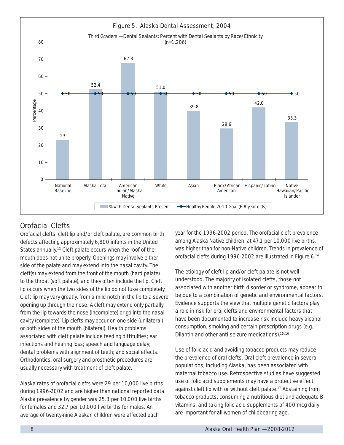

# Orofacial Clefts

Orofacial clefts, cleft lip and/or cleft palate, are common birth defects affecting approximately 6,800 infants in the United States annually.13 Cleft palate occurs when the roof of the mouth does not unite properly. Openings may involve either side of the palate and may extend into the nasal cavity. The cleft(s) may extend from the front of the mouth (hard palate) to the throat (soft palate), and they often include the lip. Cleft lip occurs when the two sides of the lip do not fuse completely. Cleft lip may vary greatly, from a mild notch in the lip to a severe opening up through the nose. A cleft may extend only partially from the lip towards the nose (incomplete) or go into the nasal cavity (complete). Lip clefts may occur on one side (unilateral) or both sides of the mouth (bilateral). Health problems associated with cleft palate include feeding difficulties; ear infections and hearing loss; speech and language delay; dental problems with alignment of teeth; and social effects. Orthodontics, oral surgery and prosthetic procedures are usually necessary with treatment of cleft palate.

Alaska rates of orofacial clefts were 29 per 10,000 live births during 1996-2002 and are higher than national reported data. Alaska prevalence by gender was 25.3 per 10,000 live births for females and 32.7 per 10,000 live births for males. An average of twenty-nine Alaskan children were affected each

year for the 1996-2002 period. The orofacial cleft prevalence among Alaska Native children, at 47.1 per 10,000 live births, was higher than for non-Native children. Trends in prevalence of orofacial clefts during 1996-2002 are illustrated in Figure 6.14

The etiology of cleft lip and/or cleft palate is not well understood. The majority of isolated clefts, those not associated with another birth disorder or syndrome, appear to be due to a combination of genetic and environmental factors. Evidence supports the view that multiple genetic factors play a role in risk for oral clefts and environmental factors that have been documented to increase risk include heavy alcohol consumption, smoking and certain prescription drugs (e.g., Dilantin and other anti-seizure medications).<sup>15,16</sup>

Use of folic acid and avoiding tobacco products may reduce the prevalence of oral clefts. Oral cleft prevalence in several populations, including Alaska, has been associated with maternal tobacco use. Retrospective studies have suggested use of folic acid supplements may have a protective effect against cleft lip with or without cleft palate.<sup>17</sup> Abstaining from tobacco products, consuming a nutritious diet and adequate B vitamins, and taking folic acid supplements of 400 mcg daily are important for all women of childbearing age.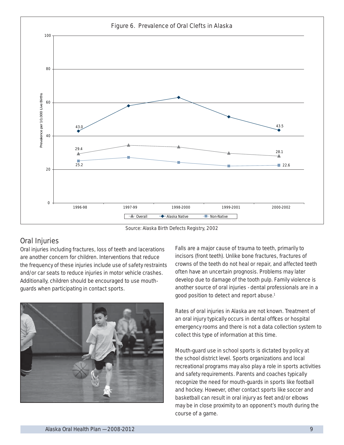

Source: Alaska Birth Defects Registry, 2002

### Oral Injuries

Oral injuries including fractures, loss of teeth and lacerations are another concern for children. Interventions that reduce the frequency of these injuries include use of safety restraints and/or car seats to reduce injuries in motor vehicle crashes. Additionally, children should be encouraged to use mouthguards when participating in contact sports.



Falls are a major cause of trauma to teeth, primarily to incisors (front teeth). Unlike bone fractures, fractures of crowns of the teeth do not heal or repair, and affected teeth often have an uncertain prognosis. Problems may later develop due to damage of the tooth pulp. Family violence is another source of oral injuries - dental professionals are in a good position to detect and report abuse.<sup>1</sup>

Rates of oral injuries in Alaska are not known. Treatment of an oral injury typically occurs in dental offices or hospital emergency rooms and there is not a data collection system to collect this type of information at this time.

Mouth-guard use in school sports is dictated by policy at the school district level. Sports organizations and local recreational programs may also play a role in sports activities and safety requirements. Parents and coaches typically recognize the need for mouth-guards in sports like football and hockey. However, other contact sports like soccer and basketball can result in oral injury as feet and/or elbows may be in close proximity to an opponent's mouth during the course of a game.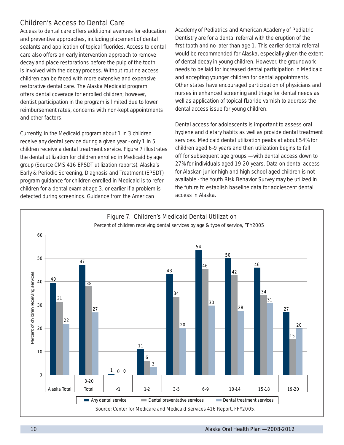### Children's Access to Dental Care

Access to dental care offers additional avenues for education and preventive approaches, including placement of dental sealants and application of topical fluorides. Access to dental care also offers an early intervention approach to remove decay and place restorations before the pulp of the tooth is involved with the decay process. Without routine access children can be faced with more extensive and expensive restorative dental care. The Alaska Medicaid program offers dental coverage for enrolled children; however, dentist participation in the program is limited due to lower reimbursement rates, concerns with non-kept appointments and other factors.

Currently, in the Medicaid program about 1 in 3 children receive any dental service during a given year - only 1 in 5 children receive a dental treatment service. Figure 7 illustrates the dental utilization for children enrolled in Medicaid by age group (Source CMS 416 EPSDT utilization reports). Alaska's Early & Periodic Screening, Diagnosis and Treatment (EPSDT) program guidance for children enrolled in Medicaid is to refer children for a dental exam at age 3, or earlier if a problem is detected during screenings. Guidance from the American

Academy of Pediatrics and American Academy of Pediatric Dentistry are for a dental referral with the eruption of the first tooth and no later than age 1. This earlier dental referral would be recommended for Alaska, especially given the extent of dental decay in young children. However, the groundwork needs to be laid for increased dental participation in Medicaid and accepting younger children for dental appointments. Other states have encouraged participation of physicians and nurses in enhanced screening and triage for dental needs as well as application of topical fluoride varnish to address the dental access issue for young children.

Dental access for adolescents is important to assess oral hygiene and dietary habits as well as provide dental treatment services. Medicaid dental utilization peaks at about 54% for children aged 6-9 years and then utilization begins to fall off for subsequent age groups — with dental access down to 27% for individuals aged 19-20 years. Data on dental access for Alaskan junior high and high school aged children is not available - the Youth Risk Behavior Survey may be utilized in the future to establish baseline data for adolescent dental access in Alaska.

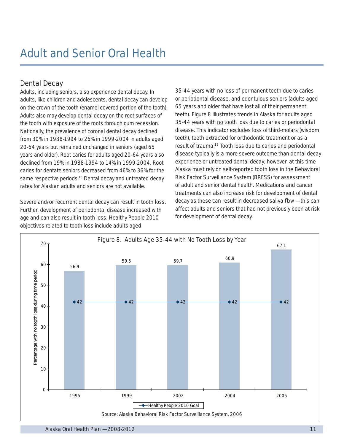### Dental Decay

Adults, including seniors, also experience dental decay. In adults, like children and adolescents, dental decay can develop on the crown of the tooth (enamel covered portion of the tooth). Adults also may develop dental decay on the root surfaces of the tooth with exposure of the roots through gum recession. Nationally, the prevalence of coronal dental decay declined from 30% in 1988-1994 to 26% in 1999-2004 in adults aged 20-64 years but remained unchanged in seniors (aged 65 years and older). Root caries for adults aged 20-64 years also declined from 19% in 1988-1994 to 14% in 1999-2004. Root caries for dentate seniors decreased from 46% to 36% for the same respective periods.<sup>10</sup> Dental decay and untreated decay rates for Alaskan adults and seniors are not available.

Severe and/or recurrent dental decay can result in tooth loss. Further, development of periodontal disease increased with age and can also result in tooth loss. *Healthy People 2010*  objectives related to tooth loss include adults aged

35-44 years with no loss of permanent teeth due to caries or periodontal disease, and edentulous seniors (adults aged 65 years and older that have lost all of their permanent teeth). Figure 8 illustrates trends in Alaska for adults aged 35-44 years with no tooth loss due to caries or periodontal disease. This indicator excludes loss of third-molars (wisdom teeth), teeth extracted for orthodontic treatment or as a result of trauma.18 Tooth loss due to caries and periodontal disease typically is a more severe outcome than dental decay experience or untreated dental decay; however, at this time Alaska must rely on self-reported tooth loss in the Behavioral Risk Factor Surveillance System (BRFSS) for assessment of adult and senior dental health. Medications and cancer treatments can also increase risk for development of dental  $decay$  as these can result in decreased saliva flow  $-$  this can affect adults and seniors that had not previously been at risk for development of dental decay.

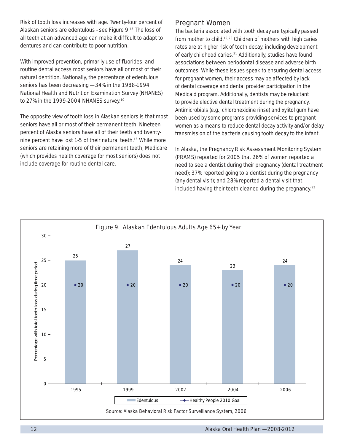Risk of tooth loss increases with age. Twenty-four percent of Alaskan seniors are edentulous - see Figure 9.18 The loss of all teeth at an advanced age can make it difficult to adapt to dentures and can contribute to poor nutrition.

With improved prevention, primarily use of fluorides, and routine dental access most seniors have all or most of their natural dentition. Nationally, the percentage of edentulous seniors has been decreasing — 34% in the 1988-1994 National Health and Nutrition Examination Survey (NHANES) to 27% in the 1999-2004 NHANES survey.10

The opposite view of tooth loss in Alaskan seniors is that most seniors have all or most of their permanent teeth. Nineteen percent of Alaska seniors have all of their teeth and twentynine percent have lost 1-5 of their natural teeth.18 While more seniors are retaining more of their permanent teeth, Medicare (which provides health coverage for most seniors) does not include coverage for routine dental care.

### Pregnant Women

The bacteria associated with tooth decay are typically passed from mother to child.<sup>19, 20</sup> Children of mothers with high caries rates are at higher risk of tooth decay, including development of early childhood caries.<sup>21</sup> Additionally, studies have found associations between periodontal disease and adverse birth outcomes. While these issues speak to ensuring dental access for pregnant women, their access may be affected by lack of dental coverage and dental provider participation in the Medicaid program. Additionally, dentists may be reluctant to provide elective dental treatment during the pregnancy. Antimicrobials (e.g., chlorohexidine rinse) and xylitol gum have been used by some programs providing services to pregnant women as a means to reduce dental decay activity and/or delay transmission of the bacteria causing tooth decay to the infant.

In Alaska, the Pregnancy Risk Assessment Monitoring System (PRAMS) reported for 2005 that 26% of women reported a need to see a dentist during their pregnancy (dental treatment need); 37% reported going to a dentist during the pregnancy (any dental visit); and 28% reported a dental visit that included having their teeth cleaned during the pregnancy.<sup>22</sup>

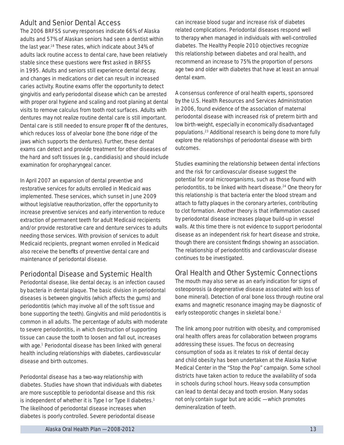### Adult and Senior Dental Access

The 2006 BRFSS survey responses indicate 66% of Alaska adults and 57% of Alaskan seniors had seen a dentist within the last year.18 These rates, which indicate about 34% of adults lack routine access to dental care, have been relatively stable since these questions were first asked in BRFSS in 1995. Adults and seniors still experience dental decay, and changes in medications or diet can result in increased caries activity. Routine exams offer the opportunity to detect gingivitis and early periodontal disease which can be arrested with proper oral hygiene and scaling and root planing at dental visits to remove calculus from tooth root surfaces. Adults with dentures may not realize routine dental care is still important. Dental care is still needed to ensure proper fit of the dentures, which reduces loss of alveolar bone (the bone ridge of the jaws which supports the dentures). Further, these dental exams can detect and provide treatment for other diseases of the hard and soft tissues (e.g., candidiasis) and should include examination for oropharyngeal cancer.

In April 2007 an expansion of dental preventive and restorative services for adults enrolled in Medicaid was implemented. These services, which sunset in June 2009 without legislative reauthorization, offer the opportunity to increase preventive services and early intervention to reduce extraction of permanent teeth for adult Medicaid recipients and/or provide restorative care and denture services to adults needing those services. With provision of services to adult Medicaid recipients, pregnant women enrolled in Medicaid also receive the benefits of preventive dental care and maintenance of periodontal disease.

### Periodontal Disease and Systemic Health

Periodontal disease, like dental decay, is an infection caused by bacteria in dental plaque. The basic division in periodontal diseases is between gingivitis (which affects the gums) and periodontitis (which may involve all of the soft tissue and bone supporting the teeth). Gingivitis and mild periodontitis is common in all adults. The percentage of adults with moderate to severe periodontitis, in which destruction of supporting tissue can cause the tooth to loosen and fall out, increases with age.<sup>1</sup> Periodontal disease has been linked with general health including relationships with diabetes, cardiovascular disease and birth outcomes.

Periodontal disease has a two-way relationship with diabetes. Studies have shown that individuals with diabetes are more susceptible to periodontal disease and this risk is independent of whether it is Type I or Type II diabetes.<sup>1</sup> The likelihood of periodontal disease increases when diabetes is poorly controlled. Severe periodontal disease

can increase blood sugar and increase risk of diabetes related complications. Periodontal diseases respond well to therapy when managed in individuals with well-controlled diabetes. The *Healthy People 2010* objectives recognize this relationship between diabetes and oral health, and recommend an increase to 75% the proportion of persons age two and older with diabetes that have at least an annual dental exam.

A consensus conference of oral health experts, sponsored by the U.S. Health Resources and Services Administration in 2006, found evidence of the association of maternal periodontal disease with increased risk of preterm birth and low birth-weight, especially in economically disadvantaged populations.23 Additional research is being done to more fully explore the relationships of periodontal disease with birth outcomes.

Studies examining the relationship between dental infections and the risk for cardiovascular disease suggest the potential for oral microorganisms, such as those found with periodontitis, to be linked with heart disease.<sup>24</sup> One theory for this relationship is that bacteria enter the blood stream and attach to fatty plaques in the coronary arteries, contributing to clot formation. Another theory is that inflammation caused by periodontal disease increases plaque build-up in vessel walls. At this time there is not evidence to support periodontal disease as an independent risk for heart disease and stroke, though there are consistent findings showing an association. The relationship of periodontitis and cardiovascular disease continues to be investigated.

### Oral Health and Other Systemic Connections

The mouth may also serve as an early indication for signs of osteoporosis (a degenerative disease associated with loss of bone mineral). Detection of oral bone loss through routine oral exams and magnetic resonance imaging may be diagnostic of early osteoporotic changes in skeletal bone.<sup>1</sup>

The link among poor nutrition with obesity, and compromised oral health offers areas for collaboration between programs addressing these issues. The focus on decreasing consumption of soda as it relates to risk of dental decay and child obesity has been undertaken at the Alaska Native Medical Center in the "Stop the Pop" campaign. Some school districts have taken action to reduce the availability of soda in schools during school hours. Heavy soda consumption can lead to dental decay and tooth erosion. Many sodas not only contain sugar but are acidic — which promotes demineralization of teeth.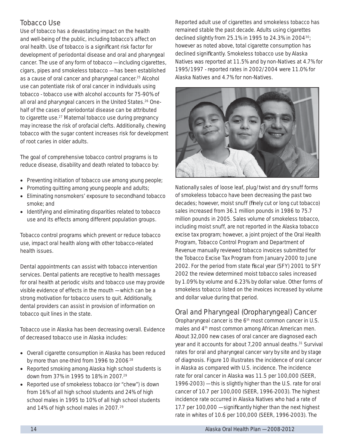### Tobacco Use

Use of tobacco has a devastating impact on the health and well-being of the public, including tobacco's affect on oral health. Use of tobacco is a significant risk factor for development of periodontal disease and oral and pharyngeal cancer. The use of any form of tobacco — including cigarettes, cigars, pipes and smokeless tobacco — has been established as a cause of oral cancer and pharyngeal cancer.25 Alcohol use can potentiate risk of oral cancer in individuals using tobacco - tobacco use with alcohol accounts for 75-90% of all oral and pharyngeal cancers in the United States.<sup>26</sup> Onehalf of the cases of periodontal disease can be attributed to cigarette use.<sup>27</sup> Maternal tobacco use during pregnancy may increase the risk of orofacial clefts. Additionally, chewing tobacco with the sugar content increases risk for development of root caries in older adults.

The goal of comprehensive tobacco control programs is to reduce disease, disability and death related to tobacco by:

- Preventing initiation of tobacco use among young people;
- Promoting quitting among young people and adults;
- Eliminating nonsmokers' exposure to secondhand tobacco smoke; and
- Identifying and eliminating disparities related to tobacco use and its effects among different population groups.

Tobacco control programs which prevent or reduce tobacco use, impact oral health along with other tobacco-related health issues.

Dental appointments can assist with tobacco intervention services. Dental patients are receptive to health messages for oral health at periodic visits and tobacco use may provide visible evidence of effects in the mouth — which can be a strong motivation for tobacco users to quit. Additionally, dental providers can assist in provision of information on tobacco quit lines in the state.

Tobacco use in Alaska has been decreasing overall. Evidence of decreased tobacco use in Alaska includes:

- Overall cigarette consumption in Alaska has been reduced by more than one-third from 1996 to 2006<sup>28</sup>
- Reported smoking among Alaska high school students is down from 37% in 1995 to 18% in 2007.<sup>29</sup>
- Reported use of smokeless tobacco (or "chew") is down from 16% of all high school students and 24% of high school males in 1995 to 10% of all high school students and 14% of high school males in 2007. 29

Reported adult use of cigarettes and smokeless tobacco has remained stable the past decade. Adults using cigarettes declined slightly from 25.1% in 1995 to 24.3% in 2004 $30$ ; however as noted above, total cigarette consumption has declined significantly. Smokeless tobacco use by Alaska Natives was reported at 11.5% and by non-Natives at 4.7% for 1995/1997 - reported rates in 2002/2004 were 11.0% for Alaska Natives and 4.7% for non-Natives.



Nationally sales of loose leaf, plug/twist and dry snuff forms of smokeless tobacco have been decreasing the past two decades; however, moist snuff (finely cut or long cut tobacco) sales increased from 36.1 million pounds in 1986 to 75.7 million pounds in 2005. Sales volume of smokeless tobacco, including moist snuff, are not reported in the Alaska tobacco excise tax program; however, a joint project of the Oral Health Program, Tobacco Control Program and Department of Revenue manually reviewed tobacco invoices submitted for the Tobacco Excise Tax Program from January 2000 to June 2002. For the period from state fiscal year (SFY) 2001 to SFY 2002 the review determined moist tobacco sales increased by 1.09% by volume and 6.23% by dollar value. Other forms of smokeless tobacco listed on the invoices increased by volume and dollar value during that period.

# Oral and Pharyngeal (Oropharyngeal) Cancer

Oropharyngeal cancer is the 6<sup>th</sup> most common cancer in U.S. males and 4th most common among African American men. About 32,000 new cases of oral cancer are diagnosed each year and it accounts for about 7,200 annual deaths.<sup>31</sup> Survival rates for oral and pharyngeal cancer vary by site and by stage of diagnosis. Figure 10 illustrates the incidence of oral cancer in Alaska as compared with U.S. incidence. The incidence rate for oral cancer in Alaska was 11.5 per 100,000 (SEER, 1996-2003) — this is slightly higher than the U.S. rate for oral cancer of 10.7 per 100,000 (SEER, 1996-2003). The highest incidence rate occurred in Alaska Natives who had a rate of 17.7 per 100,000  $-$  significantly higher than the next highest rate in whites of 10.6 per 100,000 (SEER, 1996-2003). The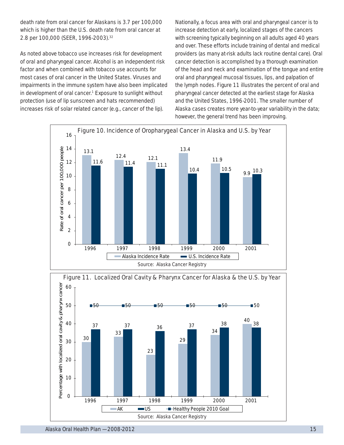death rate from oral cancer for Alaskans is 3.7 per 100,000 which is higher than the U.S. death rate from oral cancer at 2.8 per 100,000 (SEER, 1996-2003).<sup>32</sup>

As noted above tobacco use increases risk for development of oral and pharyngeal cancer. Alcohol is an independent risk factor and when combined with tobacco use accounts for most cases of oral cancer in the United States. Viruses and impairments in the immune system have also been implicated in development of oral cancer.<sup>1</sup> Exposure to sunlight without protection (use of lip sunscreen and hats recommended) increases risk of solar related cancer (e.g., cancer of the lip).

Nationally, a focus area with oral and pharyngeal cancer is to increase detection at early, localized stages of the cancers with screening typically beginning on all adults aged 40 years and over. These efforts include training of dental and medical providers (as many at-risk adults lack routine dental care). Oral cancer detection is accomplished by a thorough examination of the head and neck and examination of the tongue and entire oral and pharyngeal mucosal tissues, lips, and palpation of the lymph nodes. Figure 11 illustrates the percent of oral and pharyngeal cancer detected at the earliest stage for Alaska and the United States, 1996-2001. The smaller number of Alaska cases creates more year-to-year variability in the data; however, the general trend has been improving.



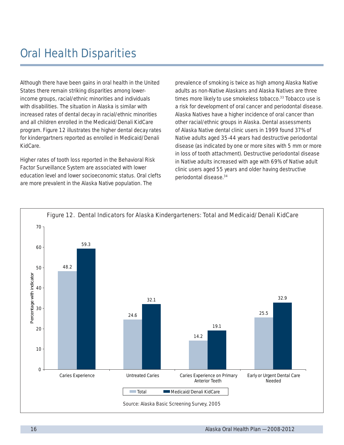Although there have been gains in oral health in the United States there remain striking disparities among lowerincome groups, racial/ethnic minorities and individuals with disabilities. The situation in Alaska is similar with increased rates of dental decay in racial/ethnic minorities and all children enrolled in the Medicaid/Denali KidCare program. Figure 12 illustrates the higher dental decay rates for kindergartners reported as enrolled in Medicaid/Denali KidCare.

Higher rates of tooth loss reported in the Behavioral Risk Factor Surveillance System are associated with lower education level and lower socioeconomic status. Oral clefts are more prevalent in the Alaska Native population. The

prevalence of smoking is twice as high among Alaska Native adults as non-Native Alaskans and Alaska Natives are three times more likely to use smokeless tobacco.<sup>33</sup> Tobacco use is a risk for development of oral cancer and periodontal disease. Alaska Natives have a higher incidence of oral cancer than other racial/ethnic groups in Alaska. Dental assessments of Alaska Native dental clinic users in 1999 found 37% of Native adults aged 35-44 years had destructive periodontal disease (as indicated by one or more sites with 5 mm or more in loss of tooth attachment). Destructive periodontal disease in Native adults increased with age with 69% of Native adult clinic users aged 55 years and older having destructive periodontal disease.34

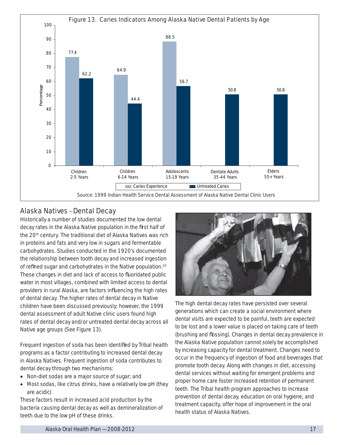

### Alaska Natives - Dental Decay

Historically a number of studies documented the low dental decay rates in the Alaska Native population in the first half of the 20<sup>th</sup> century. The traditional diet of Alaska Natives was rich in proteins and fats and very low in sugars and fermentable carbohydrates. Studies conducted in the 1920's documented the relationship between tooth decay and increased ingestion of refined sugar and carbohydrates in the Native population. $35$ These changes in diet and lack of access to fluoridated public water in most villages, combined with limited access to dental providers in rural Alaska, are factors influencing the high rates of dental decay. The higher rates of dental decay in Native children have been discussed previously; however, the 1999 dental assessment of adult Native clinic users found high rates of dental decay and/or untreated dental decay across all Native age groups (See Figure 13).

Frequent ingestion of soda has been identified by Tribal health programs as a factor contributing to increased dental decay in Alaska Natives. Frequent ingestion of soda contributes to dental decay through two mechanisms:

- Non-diet sodas are a major source of sugar; and
- Most sodas, like citrus drinks, have a relatively low pH (they are acidic)

These factors result in increased acid production by the bacteria causing dental decay as well as demineralization of teeth due to the low pH of these drinks.



The high dental decay rates have persisted over several generations which can create a social environment where dental visits are expected to be painful, teeth are expected to be lost and a lower value is placed on taking care of teeth (brushing and flossing). Changes in dental decay prevalence in the Alaska Native population cannot solely be accomplished by increasing capacity for dental treatment. Changes need to occur in the frequency of ingestion of food and beverages that promote tooth decay. Along with changes in diet, accessing dental services without waiting for emergent problems and proper home care foster increased retention of permanent teeth. The Tribal health program approaches to increase prevention of dental decay, education on oral hygiene, and treatment capacity, offer hope of improvement in the oral health status of Alaska Natives.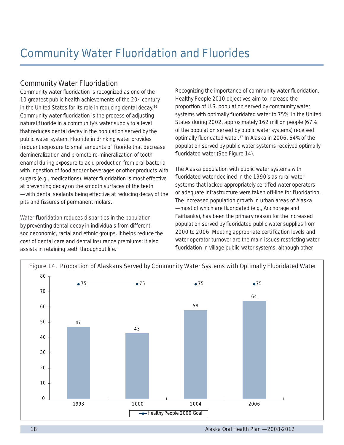## Community Water Fluoridation

Community water fluoridation is recognized as one of the 10 greatest public health achievements of the 20<sup>th</sup> century in the United States for its role in reducing dental decay.<sup>36</sup> Community water fluoridation is the process of adjusting natural fluoride in a community's water supply to a level that reduces dental decay in the population served by the public water system. Fluoride in drinking water provides frequent exposure to small amounts of fluoride that decrease demineralization and promote re-mineralization of tooth enamel during exposure to acid production from oral bacteria with ingestion of food and/or beverages or other products with sugars (e.g., medications). Water fluoridation is most effective at preventing decay on the smooth surfaces of the teeth — with dental sealants being effective at reducing decay of the pits and fissures of permanent molars.

Water fluoridation reduces disparities in the population by preventing dental decay in individuals from different socioeconomic, racial and ethnic groups. It helps reduce the cost of dental care and dental insurance premiums; it also assists in retaining teeth throughout life.<sup>1</sup>

Recognizing the importance of community water fluoridation, *Healthy People 2010* objectives aim to increase the proportion of U.S. population served by community water systems with optimally fluoridated water to 75%. In the United States during 2002, approximately 162 million people (67% of the population served by public water systems) received optimally fluoridated water. $37$  In Alaska in 2006, 64% of the population served by public water systems received optimally fluoridated water (See Figure 14).

The Alaska population with public water systems with fluoridated water declined in the 1990's as rural water systems that lacked appropriately certified water operators or adequate infrastructure were taken off-line for fluoridation. The increased population growth in urban areas of Alaska - most of which are fluoridated (e.g., Anchorage and Fairbanks), has been the primary reason for the increased population served by fluoridated public water supplies from 2000 to 2006. Meeting appropriate certification levels and water operator turnover are the main issues restricting water fluoridation in village public water systems, although other

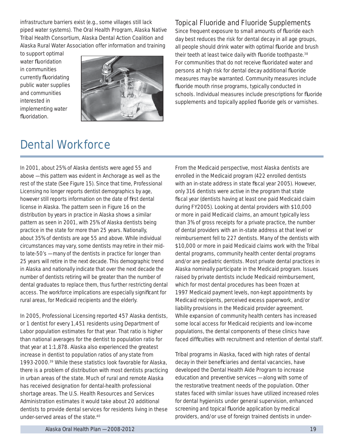infrastructure barriers exist (e.g., some villages still lack piped water systems). The Oral Health Program, Alaska Native Tribal Health Consortium, Alaska Dental Action Coalition and Alaska Rural Water Association offer information and training

to support optimal water fluoridation in communities currently fluoridating public water supplies and communities interested in implementing water fluoridation



### Topical Fluoride and Fluoride Supplements

Since frequent exposure to small amounts of fluoride each day best reduces the risk for dental decay in all age groups, all people should drink water with optimal fluoride and brush their teeth at least twice daily with fluoride toothpaste.<sup>38</sup> For communities that do not receive fluoridated water and persons at high risk for dental decay additional fluoride measures may be warranted. Community measures include fluoride mouth rinse programs, typically conducted in schools. Individual measures include prescriptions for fluoride supplements and topically applied fluoride gels or varnishes.

# Dental Workforce

In 2001, about 25% of Alaska dentists were aged 55 and above — this pattern was evident in Anchorage as well as the rest of the state (See Figure 15). Since that time, Professional Licensing no longer reports dentist demographics by age, however still reports information on the date of first dental license in Alaska. The pattern seen in Figure 16 on the distribution by years in practice in Alaska shows a similar pattern as seen in 2001, with 25% of Alaska dentists being practice in the state for more than 25 years. Nationally, about 35% of dentists are age 55 and above. While individual circumstances may vary, some dentists may retire in their midto late-50's — many of the dentists in practice for longer than 25 years will retire in the next decade. This demographic trend in Alaska and nationally indicate that over the next decade the number of dentists retiring will be greater than the number of dental graduates to replace them, thus further restricting dental access. The workforce implications are especially significant for rural areas, for Medicaid recipients and the elderly.

In 2005, Professional Licensing reported 457 Alaska dentists, or 1 dentist for every 1,451 residents using Department of Labor population estimates for that year. That ratio is higher than national averages for the dentist to population ratio for that year at 1:1,878. Alaska also experienced the greatest increase in dentist to population ratios of any state from 1993-2000.39 While these statistics look favorable for Alaska, there is a problem of distribution with most dentists practicing in urban areas of the state. Much of rural and remote Alaska has received designation for dental-health professional shortage areas. The U.S. Health Resources and Services Administration estimates it would take about 20 additional dentists to provide dental services for residents living in these under-served areas of the state.40

From the Medicaid perspective, most Alaska dentists are enrolled in the Medicaid program (422 enrolled dentists with an in-state address in state fiscal year 2005). However, only 316 dentists were active in the program that state fiscal year (dentists having at least one paid Medicaid claim during FY2005). Looking at dental providers with \$10,000 or more in paid Medicaid claims, an amount typically less than 3% of gross receipts for a private practice, the number of dental providers with an in-state address at that level or reimbursement fell to 227 dentists. Many of the dentists with \$10,000 or more in paid Medicaid claims work with the Tribal dental programs, community health center dental programs and/or are pediatric dentists. Most private dental practices in Alaska nominally participate in the Medicaid program. Issues raised by private dentists include Medicaid reimbursement, which for most dental procedures has been frozen at 1997 Medicaid payment levels, non-kept appointments by Medicaid recipients, perceived excess paperwork, and/or liability provisions in the Medicaid provider agreement. While expansion of community health centers has increased some local access for Medicaid recipients and low-income populations, the dental components of these clinics have faced difficulties with recruitment and retention of dental staff.

Tribal programs in Alaska, faced with high rates of dental decay in their beneficiaries and dental vacancies, have developed the Dental Health Aide Program to increase education and preventive services — along with some of the restorative treatment needs of the population. Other states faced with similar issues have utilized increased roles for dental hygienists under general supervision, enhanced screening and topical fluoride application by medical providers, and/or use of foreign trained dentists in under-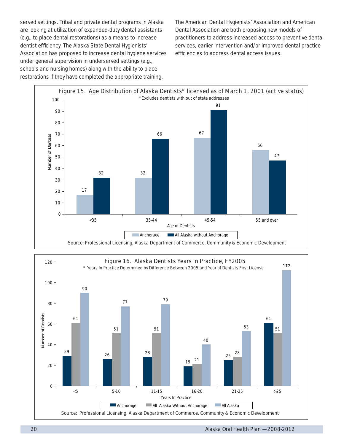served settings. Tribal and private dental programs in Alaska are looking at utilization of expanded-duty dental assistants (e.g., to place dental restorations) as a means to increase dentist efficiency. The Alaska State Dental Hygienists' Association has proposed to increase dental hygiene services under general supervision in underserved settings (e.g., schools and nursing homes) along with the ability to place restorations if they have completed the appropriate training.

The American Dental Hygienists' Association and American Dental Association are both proposing new models of practitioners to address increased access to preventive dental services, earlier intervention and/or improved dental practice efficiencies to address dental access issues.



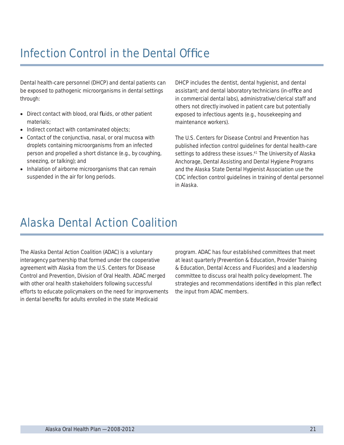# Infection Control in the Dental Office

Dental health-care personnel (DHCP) and dental patients can be exposed to pathogenic microorganisms in dental settings through:

- Direct contact with blood, oral fluids, or other patient materials;
- Indirect contact with contaminated objects;
- Contact of the conjunctiva, nasal, or oral mucosa with droplets containing microorganisms from an infected person and propelled a short distance (e.g., by coughing, sneezing, or talking); and
- Inhalation of airborne microorganisms that can remain suspended in the air for long periods.

DHCP includes the dentist, dental hygienist, and dental assistant; and dental laboratory technicians (in-office and in commercial dental labs), administrative/clerical staff and others not directly involved in patient care but potentially exposed to infectious agents (e.g., housekeeping and maintenance workers).

The U.S. Centers for Disease Control and Prevention has published infection control guidelines for dental health-care settings to address these issues.<sup>41</sup> The University of Alaska Anchorage, Dental Assisting and Dental Hygiene Programs and the Alaska State Dental Hygienist Association use the CDC infection control guidelines in training of dental personnel in Alaska.

# Alaska Dental Action Coalition

The Alaska Dental Action Coalition (ADAC) is a voluntary interagency partnership that formed under the cooperative agreement with Alaska from the U.S. Centers for Disease Control and Prevention, Division of Oral Health. ADAC merged with other oral health stakeholders following successful efforts to educate policymakers on the need for improvements in dental benefits for adults enrolled in the state Medicaid

program. ADAC has four established committees that meet at least quarterly (Prevention & Education, Provider Training & Education, Dental Access and Fluorides) and a leadership committee to discuss oral health policy development. The strategies and recommendations identified in this plan reflect the input from ADAC members.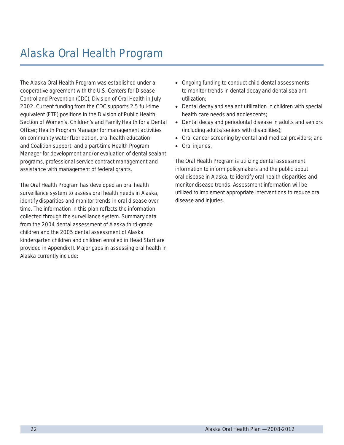# Alaska Oral Health Program

The Alaska Oral Health Program was established under a cooperative agreement with the U.S. Centers for Disease Control and Prevention (CDC), Division of Oral Health in July 2002. Current funding from the CDC supports 2.5 full-time equivalent (FTE) positions in the Division of Public Health, Section of Women's, Children's and Family Health for a Dental Officer; Health Program Manager for management activities on community water fluoridation, oral health education and Coalition support; and a part-time Health Program Manager for development and/or evaluation of dental sealant programs, professional service contract management and assistance with management of federal grants.

The Oral Health Program has developed an oral health surveillance system to assess oral health needs in Alaska, identify disparities and monitor trends in oral disease over time. The information in this plan reflects the information collected through the surveillance system. Summary data from the 2004 dental assessment of Alaska third-grade children and the 2005 dental assessment of Alaska kindergarten children and children enrolled in Head Start are provided in Appendix II. Major gaps in assessing oral health in Alaska currently include:

- Ongoing funding to conduct child dental assessments to monitor trends in dental decay and dental sealant utilization;
- Dental decay and sealant utilization in children with special health care needs and adolescents;
- Dental decay and periodontal disease in adults and seniors (including adults/seniors with disabilities);
- Oral cancer screening by dental and medical providers; and
- Oral injuries.

The Oral Health Program is utilizing dental assessment information to inform policymakers and the public about oral disease in Alaska, to identify oral health disparities and monitor disease trends. Assessment information will be utilized to implement appropriate interventions to reduce oral disease and injuries.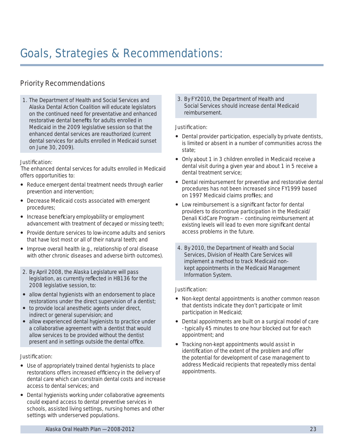# Goals, Strategies & Recommendations:

# Priority Recommendations

1. The Department of Health and Social Services and Alaska Dental Action Coalition will educate legislators on the continued need for preventative and enhanced restorative dental benefits for adults enrolled in Medicaid in the 2009 legislative session so that the enhanced dental services are reauthorized (current dental services for adults enrolled in Medicaid sunset on June 30, 2009).

#### Justification:

The enhanced dental services for adults enrolled in Medicaid offers opportunities to:

- Reduce emergent dental treatment needs through earlier prevention and intervention;
- Decrease Medicaid costs associated with emergent procedures;
- Increase beneficiary employability or employment advancement with treatment of decayed or missing teeth;
- Provide denture services to low-income adults and seniors that have lost most or all of their natural teeth; and
- Improve overall health (e.g., relationship of oral disease with other chronic diseases and adverse birth outcomes).
- 2. By April 2008, the Alaska Legislature will pass legislation, as currently reflected in HB136 for the 2008 legislative session, to:
- allow dental hygienists with an endorsement to place restorations under the direct supervision of a dentist;
- to provide local anesthetic agents under direct, indirect or general supervision; and
- allow experienced dental hygienists to practice under a collaborative agreement with a dentist that would allow services to be provided without the dentist present and in settings outside the dental office.

#### Justification:

- Use of appropriately trained dental hygienists to place restorations offers increased efficiency in the delivery of dental care which can constrain dental costs and increase access to dental services; and
- Dental hygienists working under collaborative agreements could expand access to dental preventive services in schools, assisted living settings, nursing homes and other settings with underserved populations.

3. By FY2010, the Department of Health and Social Services should increase dental Medicaid reimbursement.

#### Justification:

- Dental provider participation, especially by private dentists, is limited or absent in a number of communities across the state;
- Only about 1 in 3 children enrolled in Medicaid receive a dental visit during a given year and about 1 in 5 receive a dental treatment service;
- Dental reimbursement for preventive and restorative dental procedures has not been increased since FY1999 based on 1997 Medicaid claims profiles; and
- Low reimbursement is a significant factor for dental providers to discontinue participation in the Medicaid/ Denali KidCare Program – continuing reimbursement at existing levels will lead to even more significant dental access problems in the future.
- 4. By 2010, the Department of Health and Social Services, Division of Health Care Services will implement a method to track Medicaid nonkept appointments in the Medicaid Management Information System.

#### Justification:

- Non-kept dental appointments is another common reason that dentists indicate they don't participate or limit participation in Medicaid;
- Dental appointments are built on a surgical model of care - typically 45 minutes to one hour blocked out for each appointment; and
- Tracking non-kept appointments would assist in identification of the extent of the problem and offer the potential for development of case management to address Medicaid recipients that repeatedly miss dental appointments.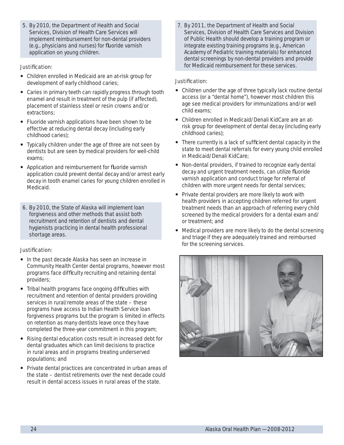5. By 2010, the Department of Health and Social Services, Division of Health Care Services will implement reimbursement for non-dental providers (e.g., physicians and nurses) for fluoride varnish application on young children.

#### Justification:

- Children enrolled in Medicaid are an at-risk group for development of early childhood caries;
- Caries in primary teeth can rapidly progress through tooth enamel and result in treatment of the pulp (if affected), placement of stainless steel or resin crowns and/or extractions;
- Fluoride varnish applications have been shown to be effective at reducing dental decay (including early childhood caries);
- Typically children under the age of three are not seen by dentists but are seen by medical providers for well-child exams;
- Application and reimbursement for fluoride varnish application could prevent dental decay and/or arrest early decay in tooth enamel caries for young children enrolled in Medicaid.
- 6. By 2010, the State of Alaska will implement loan forgiveness and other methods that assist both recruitment and retention of dentists and dental hygienists practicing in dental health professional shortage areas.

#### Justification:

- In the past decade Alaska has seen an increase in Community Health Center dental programs, however most programs face difficulty recruiting and retaining dental providers;
- Tribal health programs face ongoing difficulties with recruitment and retention of dental providers providing services in rural/remote areas of the state – these programs have access to Indian Health Service loan forgiveness programs but the program is limited in effects on retention as many dentists leave once they have completed the three-year commitment in this program;
- Rising dental education costs result in increased debt for dental graduates which can limit decisions to practice in rural areas and in programs treating underserved populations; and
- Private dental practices are concentrated in urban areas of the state – dentist retirements over the next decade could result in dental access issues in rural areas of the state.

7. By 2011, the Department of Health and Social Services, Division of Health Care Services and Division of Public Health should develop a training program or integrate existing training programs (e.g., American Academy of Pediatric training materials) for enhanced dental screenings by non-dental providers and provide for Medicaid reimbursement for these services.

#### Justification:

- Children under the age of three typically lack routine dental access (or a "dental home"), however most children this age see medical providers for immunizations and/or well child exams;
- Children enrolled in Medicaid/Denali KidCare are an atrisk group for development of dental decay (including early childhood caries);
- There currently is a lack of sufficient dental capacity in the state to meet dental referrals for every young child enrolled in Medicaid/Denali KidCare;
- Non-dental providers, if trained to recognize early dental decay and urgent treatment needs, can utilize fluoride varnish application and conduct triage for referral of children with more urgent needs for dental services;
- Private dental providers are more likely to work with health providers in accepting children referred for urgent treatment needs than an approach of referring every child screened by the medical providers for a dental exam and/ or treatment; and
- Medical providers are more likely to do the dental screening and triage if they are adequately trained and reimbursed for the screening services.

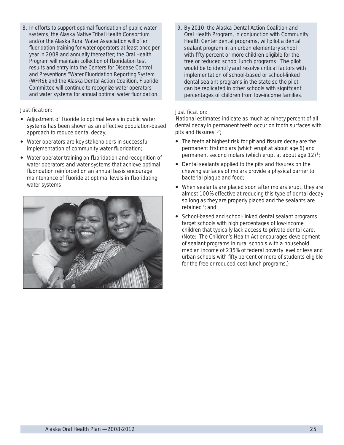8. In efforts to support optimal fluoridation of public water systems, the Alaska Native Tribal Health Consortium and/or the Alaska Rural Water Association will offer fluoridation training for water operators at least once per year in 2008 and annually thereafter; the Oral Health Program will maintain collection of fluoridation test results and entry into the Centers for Disease Control and Preventions "Water Fluoridation Reporting System (WFRS); and the Alaska Dental Action Coalition, Fluoride Committee will continue to recognize water operators and water systems for annual optimal water fluoridation.

#### Justification:

- Adjustment of fluoride to optimal levels in public water systems has been shown as an effective population-based approach to reduce dental decay;
- Water operators are key stakeholders in successful implementation of community water fluoridation;
- Water operator training on fluoridation and recognition of water operators and water systems that achieve optimal fluoridation reinforced on an annual basis encourage maintenance of fluoride at optimal levels in fluoridating water systems.



9. By 2010, the Alaska Dental Action Coalition and Oral Health Program, in conjunction with Community Health Center dental programs, will pilot a dental sealant program in an urban elementary school with fifty percent or more children eligible for the free or reduced school lunch programs. The pilot would be to identify and resolve critical factors with implementation of school-based or school-linked dental sealant programs in the state so the pilot can be replicated in other schools with significant percentages of children from low-income families.

### Justification:

National estimates indicate as much as ninety percent of all dental decay in permanent teeth occur on tooth surfaces with pits and fissures  $1,2$ ;

- The teeth at highest risk for pit and fissure decay are the permanent first molars (which erupt at about age 6) and permanent second molars (which erupt at about age  $12$ )<sup>1</sup>;
- Dental sealants applied to the pits and fissures on the chewing surfaces of molars provide a physical barrier to bacterial plaque and food;
- When sealants are placed soon after molars erupt, they are almost 100% effective at reducing this type of dental decay so long as they are properly placed and the sealants are retained 1; and
- School-based and school-linked dental sealant programs target schools with high percentages of low-income children that typically lack access to private dental care. (Note: The Children's Health Act encourages development of sealant programs in rural schools with a household median income of 235% of federal poverty level or less and urban schools with fifty percent or more of students eligible for the free or reduced-cost lunch programs.)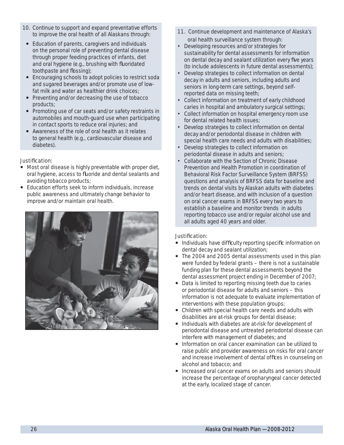- 10. Continue to support and expand preventative efforts to improve the oral health of all Alaskans through:
- Education of parents, caregivers and individuals on the personal role of preventing dental disease through proper feeding practices of infants, diet and oral hygiene (e.g., brushing with fluoridated toothpaste and flossing);
- Encouraging schools to adopt policies to restrict soda and sugared beverages and/or promote use of lowfat milk and water as healthier drink choices;
- Preventing and/or decreasing the use of tobacco products;
- Promoting use of car seats and/or safety restraints in automobiles and mouth-guard use when participating in contact sports to reduce oral injuries; and
- Awareness of the role of oral health as it relates to general health (e.g., cardiovascular disease and diabetes).

### Justification:

- Most oral disease is highly preventable with proper diet, oral hygiene, access to fluoride and dental sealants and avoiding tobacco products;
- Education efforts seek to inform individuals, increase public awareness and ultimately change behavior to improve and/or maintain oral health.



- 11. Continue development and maintenance of Alaska's oral health surveillance system through:
- Developing resources and/or strategies for sustainability for dental assessments for information on dental decay and sealant utilization every five years (to include adolescents in future dental assessments);
- Develop strategies to collect information on dental decay in adults and seniors, including adults and seniors in long-term care settings, beyond selfreported data on missing teeth;
- Collect information on treatment of early childhood caries in hospital and ambulatory surgical settings;
- Collect information on hospital emergency room use for dental related health issues;
- Develop strategies to collect information on dental decay and/or periodontal disease in children with special health care needs and adults with disabilities;
- Develop strategies to collect information on periodontal disease in adults and seniors;
- Collaborate with the Section of Chronic Disease Prevention and Health Promotion in coordination of Behavioral Risk Factor Surveillance System (BRFSS) questions and analysis of BRFSS data for baseline and trends on dental visits by Alaskan adults with diabetes and/or heart disease, and with inclusion of a question on oral cancer exams in BRFSS every two years to establish a baseline and monitor trends in adults reporting tobacco use and/or regular alcohol use and all adults aged 40 years and older.

#### Justification:

- Individuals have difficulty reporting specific information on dental decay and sealant utilization;
- The 2004 and 2005 dental assessments used in this plan were funded by federal grants – there is not a sustainable funding plan for these dental assessments beyond the dental assessment project ending in December of 2007;
- Data is limited to reporting missing teeth due to caries or periodontal disease for adults and seniors – this information is not adequate to evaluate implementation of interventions with these population groups;
- Children with special health care needs and adults with disabilities are at-risk groups for dental disease;
- Individuals with diabetes are at-risk for development of periodontal disease and untreated periodontal disease can interfere with management of diabetes; and
- Information on oral cancer examination can be utilized to raise public and provider awareness on risks for oral cancer and increase involvement of dental offices in counseling on alcohol and tobacco; and
- Increased oral cancer exams on adults and seniors should increase the percentage of oropharyngeal cancer detected at the early, localized stage of cancer.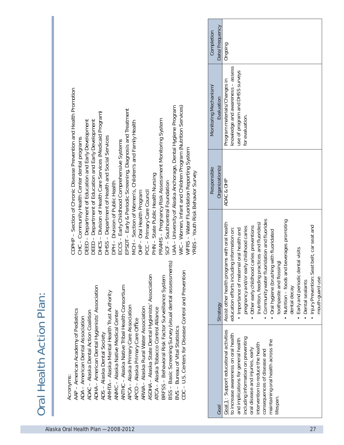|                                 | CDPHP – Section of Chronic Disease Prevention and He |
|---------------------------------|------------------------------------------------------|
| <b>Oral Health Action Plan:</b> | Acronyms:                                            |

| AAP - American Academy of Pediatrics                 |
|------------------------------------------------------|
| ADA – American Dental Association                    |
| ADAC - Alaska Dental Action Coalition                |
| ADHA - American Dental Hygienists' Association       |
| ADS-Alaska Dental Society                            |
| AMHTA – Alaska Mental Health Trust Authority         |
| ANMC – Alaska Native Medical Center                  |
| ANTHC - Alaska Native Tribal Health Consortium       |
| APCA – Alaska Primary Care Association               |
| APCO – Alaska Primary Care Office                    |
| ARWA – Alaska Rural Water Association                |
| ASDHA - Alaska State Dental Hygienists' Association  |
| ATCA – Alaska Tobacco Control Alliance               |
| BRFSS - Behavioral Risk Factor Surveillance System   |
| BSS - Basic Screening Survey (visual dental assessme |
| BVS - Bureau of Vital Statistics                     |
| CDC-U.S. Centers for Disease Control and Prevention  |

- -
- 
- - -
- 
- 
- -
- -
- 

| Date/Frequency<br>Completion<br>Ongoing<br>knowledge and awareness - assess<br>use of program and DHSS surveys<br>Program materials/Changes in<br>Monitoring Mechanism,<br>CDPHP - Section of Chronic Disease Prevention and Health Promotion<br>Evaluation<br>WC - Women, Infant and Children Program (Nutrition Services)<br>JAA - University of Alaska Anchorage, Dental Hygiene Program<br>EPSDT - Early & Periodic Screening, Diagnosis and Treatment<br>- Division of Health Care Services (Medicaid Program)<br>for evaluation.<br>PRAMS - Pregnancy Risk Assessment Monitoring System<br>DEED - Department of Education and Early Development<br>DEED - Department of Education and Early Development<br>Section of Women's, Children's and Family Health<br>OHSS - Department of Health and Social Services<br>CHC-Community Health Center dental programs<br>ECCS - Early Childhood Comprehensive Systems<br>WFRS - Water Fluoridation Reporting System<br>Organization(s)<br>Responsible<br>YRBS - Youth Risk Behavior Survey<br>State Public Health Nursing<br>ADAC & OHP<br><b>DPH - Division of Public Health</b><br>Southcentral Foundation<br>PCC - Primary Care Council<br>- Oral Health Program<br>Community water fluoridation and fluorides<br>beverages promoting<br>Assist other health programs with oral health<br>(nutrition, feeding practices and fluorides)<br>• Injury Prevention: Seat belt, car seat and<br>Other early childhood caries preventions<br>pregnancy and/or early childhood caries<br>education efforts including information on:<br>. Importance of maternal oral health and<br>Oral hygiene (brushing with fluoridated<br>$-$ NHN<br>$SCF - 3$<br>DHCS-<br>MCH-<br>$rac{1}{2}$<br>Early and periodic dental visits<br>toothpaste and flossing)<br>BSS - Basic Screening Survey (visual dental assessments)<br>Nutrition - foods and<br>CDC-U.S. Centers for Disease Control and Prevention<br>ASDHA - Alaska State Dental Hygienists' Association<br>BRFSS - Behavioral Risk Factor Surveillance System<br>mouth-guard use<br>Dental sealants<br>ADHA - American Dental Hygienists' Association<br>ANTHC - Alaska Native Tribal Health Consortium<br>dental decay<br>AMHTA – Alaska Mental Health Trust Authority<br>Strategy<br>APCA - Alaska Primary Care Association<br>ARWA - Alaska Rural Water Association<br>ATCA - Alaska Tobacco Control Alliance<br>AAP - American Academy of Pediatrics<br>ADAC - Alaska Dental Action Coalition<br>ANMC - Alaska Native Medical Center<br>$\bullet$<br>$\bullet$<br>$\bullet$<br><b>ADA - American Dental Association</b><br>$\bullet$<br>$\bullet$<br>APCO - Alaska Primary Care Office<br>BVS - Bureau of Vital Statistics<br>Goal 1: Support educational activities<br>ADS - Alaska Dental Society<br>to increase awareness on oral health<br>including information on preventing<br>and implications for general health<br>maintaining oral health across the<br>intervention to reduce the health<br>oral disease and injuries, early<br>consequences of disease and<br><b>Acronyms:</b><br>lifespan.<br>Goal |                                     |  |    |
|--------------------------------------------------------------------------------------------------------------------------------------------------------------------------------------------------------------------------------------------------------------------------------------------------------------------------------------------------------------------------------------------------------------------------------------------------------------------------------------------------------------------------------------------------------------------------------------------------------------------------------------------------------------------------------------------------------------------------------------------------------------------------------------------------------------------------------------------------------------------------------------------------------------------------------------------------------------------------------------------------------------------------------------------------------------------------------------------------------------------------------------------------------------------------------------------------------------------------------------------------------------------------------------------------------------------------------------------------------------------------------------------------------------------------------------------------------------------------------------------------------------------------------------------------------------------------------------------------------------------------------------------------------------------------------------------------------------------------------------------------------------------------------------------------------------------------------------------------------------------------------------------------------------------------------------------------------------------------------------------------------------------------------------------------------------------------------------------------------------------------------------------------------------------------------------------------------------------------------------------------------------------------------------------------------------------------------------------------------------------------------------------------------------------------------------------------------------------------------------------------------------------------------------------------------------------------------------------------------------------------------------------------------------------------------------------------------------------------------------------------------------------------------------------------------------------------------------------------------------------------------------------------------------------------------------------------------------------------------------------------------------------------------------------------------------------------------------------------------------|-------------------------------------|--|----|
|                                                                                                                                                                                                                                                                                                                                                                                                                                                                                                                                                                                                                                                                                                                                                                                                                                                                                                                                                                                                                                                                                                                                                                                                                                                                                                                                                                                                                                                                                                                                                                                                                                                                                                                                                                                                                                                                                                                                                                                                                                                                                                                                                                                                                                                                                                                                                                                                                                                                                                                                                                                                                                                                                                                                                                                                                                                                                                                                                                                                                                                                                                              |                                     |  |    |
|                                                                                                                                                                                                                                                                                                                                                                                                                                                                                                                                                                                                                                                                                                                                                                                                                                                                                                                                                                                                                                                                                                                                                                                                                                                                                                                                                                                                                                                                                                                                                                                                                                                                                                                                                                                                                                                                                                                                                                                                                                                                                                                                                                                                                                                                                                                                                                                                                                                                                                                                                                                                                                                                                                                                                                                                                                                                                                                                                                                                                                                                                                              |                                     |  |    |
|                                                                                                                                                                                                                                                                                                                                                                                                                                                                                                                                                                                                                                                                                                                                                                                                                                                                                                                                                                                                                                                                                                                                                                                                                                                                                                                                                                                                                                                                                                                                                                                                                                                                                                                                                                                                                                                                                                                                                                                                                                                                                                                                                                                                                                                                                                                                                                                                                                                                                                                                                                                                                                                                                                                                                                                                                                                                                                                                                                                                                                                                                                              |                                     |  |    |
|                                                                                                                                                                                                                                                                                                                                                                                                                                                                                                                                                                                                                                                                                                                                                                                                                                                                                                                                                                                                                                                                                                                                                                                                                                                                                                                                                                                                                                                                                                                                                                                                                                                                                                                                                                                                                                                                                                                                                                                                                                                                                                                                                                                                                                                                                                                                                                                                                                                                                                                                                                                                                                                                                                                                                                                                                                                                                                                                                                                                                                                                                                              |                                     |  |    |
|                                                                                                                                                                                                                                                                                                                                                                                                                                                                                                                                                                                                                                                                                                                                                                                                                                                                                                                                                                                                                                                                                                                                                                                                                                                                                                                                                                                                                                                                                                                                                                                                                                                                                                                                                                                                                                                                                                                                                                                                                                                                                                                                                                                                                                                                                                                                                                                                                                                                                                                                                                                                                                                                                                                                                                                                                                                                                                                                                                                                                                                                                                              |                                     |  |    |
|                                                                                                                                                                                                                                                                                                                                                                                                                                                                                                                                                                                                                                                                                                                                                                                                                                                                                                                                                                                                                                                                                                                                                                                                                                                                                                                                                                                                                                                                                                                                                                                                                                                                                                                                                                                                                                                                                                                                                                                                                                                                                                                                                                                                                                                                                                                                                                                                                                                                                                                                                                                                                                                                                                                                                                                                                                                                                                                                                                                                                                                                                                              |                                     |  |    |
|                                                                                                                                                                                                                                                                                                                                                                                                                                                                                                                                                                                                                                                                                                                                                                                                                                                                                                                                                                                                                                                                                                                                                                                                                                                                                                                                                                                                                                                                                                                                                                                                                                                                                                                                                                                                                                                                                                                                                                                                                                                                                                                                                                                                                                                                                                                                                                                                                                                                                                                                                                                                                                                                                                                                                                                                                                                                                                                                                                                                                                                                                                              | Alaska Oral Health Plan - 2008-2012 |  | 27 |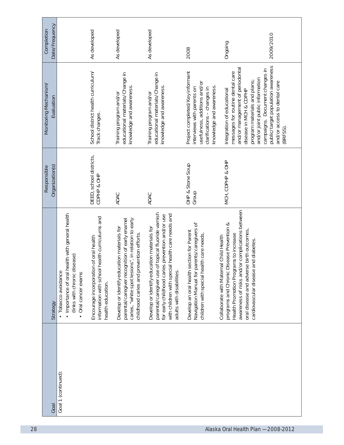| Date/Frequency<br>Completion        |                                                                                                                                             | As developed                                                                                                  | As developed                                                                                                                                                                                    | As developed                                                                                                                                                                                                                           | 2008                                                                                                                                                    | Ongoing                                                                                                                                                                                                                     | 2009/2010                                                                                                                                                                          |
|-------------------------------------|---------------------------------------------------------------------------------------------------------------------------------------------|---------------------------------------------------------------------------------------------------------------|-------------------------------------------------------------------------------------------------------------------------------------------------------------------------------------------------|----------------------------------------------------------------------------------------------------------------------------------------------------------------------------------------------------------------------------------------|---------------------------------------------------------------------------------------------------------------------------------------------------------|-----------------------------------------------------------------------------------------------------------------------------------------------------------------------------------------------------------------------------|------------------------------------------------------------------------------------------------------------------------------------------------------------------------------------|
| Monitoring Mechanism/<br>Evaluation |                                                                                                                                             | School district health curriculum/<br>Track changes.                                                          | educational materials/Change in<br>knowledge and awareness<br>Training program and/or                                                                                                           | educational materials/Change in<br>knowledge and awareness<br>Training program and/or                                                                                                                                                  | Project completed/Key informant<br>usefulness, additions and/or<br>knowledge and awareness<br>clarifications - changes in<br>interviews with parents on | and/or management of periodontal<br>messages for routine dental care<br>Integration of educational<br>disease in MCH & CDPHP                                                                                                | public/target population awareness<br>campaigns. Document changes in<br>and/or joint public information<br>program materials and plans;<br>and/or access to dental care<br>BRFSS). |
| Organization(s)<br>Responsible      |                                                                                                                                             | DEED, school districts,<br>CDPHP & OHP                                                                        | ADAC                                                                                                                                                                                            | ADAC                                                                                                                                                                                                                                   | OHP & Stone Soup<br>Group                                                                                                                               | MCH, CDPHP & OHP                                                                                                                                                                                                            |                                                                                                                                                                                    |
| Strategy                            | health with general health<br>(links with chronic disease)<br>· Tobacco avoidance<br>• Importance of oral<br>Oral cancer exams<br>$\bullet$ | information with school health curriculums and<br>Encourage incorporation of oral health<br>health education. | parental/caregiver recognition of early enamel<br>caries, "white spot lesions", in relation to early<br>Develop or identify education materials for<br>childhood caries and prevention efforts. | parental/caregiver use of topical fluoride varnish<br>with children with special health care needs and<br>for early childhood caries prevention and/or use<br>Develop or identify education materials for<br>adults with disabilities. | parents/caregivers of<br>section for Parent<br>children with special health care needs<br>Develop an oral health<br>Navigation Manual for               | awareness of risks and/or complications between<br>programs and Chronic Disease Prevention &<br>oral disease and adverse birth outcomes,<br>Health Promotion Programs to increase<br>Collaborate with Maternal Child Health | and diabetes<br>cardiovascular disease                                                                                                                                             |
| Goal                                | Goal 1 (continued):                                                                                                                         |                                                                                                               |                                                                                                                                                                                                 |                                                                                                                                                                                                                                        |                                                                                                                                                         |                                                                                                                                                                                                                             |                                                                                                                                                                                    |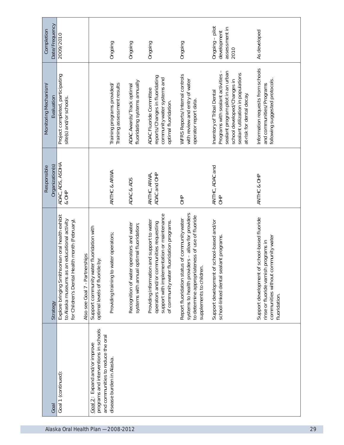| Date/Frequency<br>Completion        | 2009/2010                                                                                                                                                                           |                                                                                                              | Ongoing                                                    | Ongoing                                                                                  | Ongoing                                                                                                                                                                          | Ongoing                                                                                                                                                                           | Ongoing - pilot<br>assessment in<br>development<br>2010                                                                                                                                                 | As developed                                                                                                                                 |
|-------------------------------------|-------------------------------------------------------------------------------------------------------------------------------------------------------------------------------------|--------------------------------------------------------------------------------------------------------------|------------------------------------------------------------|------------------------------------------------------------------------------------------|----------------------------------------------------------------------------------------------------------------------------------------------------------------------------------|-----------------------------------------------------------------------------------------------------------------------------------------------------------------------------------|---------------------------------------------------------------------------------------------------------------------------------------------------------------------------------------------------------|----------------------------------------------------------------------------------------------------------------------------------------------|
| Monitoring Mechanism/<br>Evaluation | Project completed, participating<br>site(s) and/or schools.                                                                                                                         |                                                                                                              | Training assessment results<br>Training programs provided/ | fluoridating systems annually<br>ADAC Awards/Track optimal                               | reports/Changes in fluoridating<br>community water systems and<br>ADAC Fluoride Committee<br>optimal fluoridation.                                                               | WFRS Reports/Internal controls<br>with review and entry of water<br>operator report data.                                                                                         | Programs with sealant activities -<br>sealant program pilot in an urban<br>sealant utilization in populations<br>school developed/Changes in<br>Inventory of Tribal Dental<br>at-risk for dental decay. | Information requests from schools<br>following suggested protocols.<br>and communities/Programs                                              |
| Organization(s)<br>Responsible      | ADAC, ADS, ASDHA<br>& OHP                                                                                                                                                           |                                                                                                              | ANTHC & ARWA                                               | ADAC & ADS                                                                               | ADAC and OHP<br>ANTHC, ARWA,                                                                                                                                                     | $\frac{1}{10}$                                                                                                                                                                    | ANTHC, ADAC and<br>$rac{p}{\sqrt{1-p}}$                                                                                                                                                                 | ANTHC & OHP                                                                                                                                  |
| Strategy                            | Explore bringing Smithsonian oral health exhibit<br>to Alaska museums as an educational activity<br>for Children's Dental Health month (February)<br>Also see Goal 7 - Partnerships | Support community water fluoridation with<br>te by:<br>optimal levels of fluorid                             | Providing training to water operators;                     | Recognition of water operators and water<br>optimal fluoridation;<br>systems with annual | support with implementation or maintenance<br>Providing information and support to water<br>of community water fluoridation programs.<br>operators and/or communities requesting | systems to health providers - allow for providers<br>to determine appropriateness of use of fluoride<br>Report fluoridation status of community water<br>supplements to children. | Support development of school-based and/or<br>school-linked dental sealant programs.                                                                                                                    | Support development of school-based fluoride<br>communities without community water<br>rinse or fluoride varnish programs in<br>fluoridation |
| Goal                                | Goal 1 (continued):                                                                                                                                                                 | programs and interventions in schools<br>and communities to reduce the oral<br>Goal 2: Expand and/or improve | disease burden in Alaska.                                  |                                                                                          |                                                                                                                                                                                  |                                                                                                                                                                                   |                                                                                                                                                                                                         |                                                                                                                                              |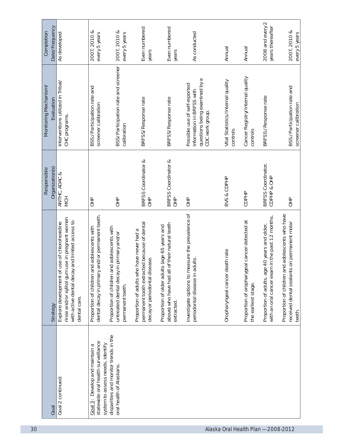| Date/Frequency<br>Completion<br>Monitoring Mechanism/<br>Evaluation<br>Organization(s)<br>Responsible | As developed<br>Interventions utilized in Tribal/<br>CHC programs.<br>ANTHC, ADAC &<br><b>MCH</b>                                                                         | 2007, 2010 &<br>every 5 years<br>BSS:/Participation rate and<br>screener calibration<br>$rac{P}{dP}$ | 2007, 2010 &<br>every 5 years<br>BSS/Participation rate and screener<br>calibration<br>$\frac{1}{10}$          | Even numbered<br>years<br>BRFSS/Response rate<br>BRFSS Coordinator &<br>$rac{1}{\sqrt{1}}$                                | Even numbered<br>years<br>BRFSS/Response rate<br>BRFSS Coordinator &<br>$\frac{P}{P}$                           | As conducted<br>questions being examined by a<br>Possible use of self-reported<br>information in BRFSS with<br>CDC work group.<br>$\frac{1}{10}$ | Annual<br>Vital Statistics/Internal quality<br>controls<br>BVS & CDPHP | Annual<br>Cancer Registry/Internal quality<br>controls<br>CDPHP      | 2008 and every 2<br>years thereafter<br>BRFSS:/Response rate<br>BRFSS Coordinator,<br>CDPHP & OHP |                                                 |
|-------------------------------------------------------------------------------------------------------|---------------------------------------------------------------------------------------------------------------------------------------------------------------------------|------------------------------------------------------------------------------------------------------|----------------------------------------------------------------------------------------------------------------|---------------------------------------------------------------------------------------------------------------------------|-----------------------------------------------------------------------------------------------------------------|--------------------------------------------------------------------------------------------------------------------------------------------------|------------------------------------------------------------------------|----------------------------------------------------------------------|---------------------------------------------------------------------------------------------------|-------------------------------------------------|
| Strategy                                                                                              | use in pregnant women<br>and limited access to<br>use of chlorohexidine<br>with active dental decay<br>Explore development of<br>rinse and/or xylitol gum<br>dental care. | and/or permanent teeth.<br>Proportion of children and adolescents with<br>dental decay in primary    | Proportion of children and adolescents with<br>in primary and/or<br>untreated dental decay<br>permanent teeth. | permanent tooth extracted because of dental<br>Proportion of adults who have never had a<br>decay or periodontal disease. | of their natural teeth<br>Proportion of older adults (age 65 years and<br>above) who have had all<br>extracted. | Investigate options to measure the prevalence of<br>periodontal disease in adults.                                                               | Oropharyngeal cancer death rate                                        | Proportion of oropharygeal cancer detected at<br>the earliest stage. | Proportion of adults, age 40 years and older,<br>with an oral cancer exam in the past 12 months.  | Proportion of children and adolescents who have |
| Goal                                                                                                  | Goal 2 continued:                                                                                                                                                         | statewide oral health surveillance<br>Goal 3: Develop and maintain a                                 | disparities and monitor trends in the<br>system to assess needs, identify<br>oral health of Alaskans.          |                                                                                                                           |                                                                                                                 |                                                                                                                                                  |                                                                        |                                                                      |                                                                                                   |                                                 |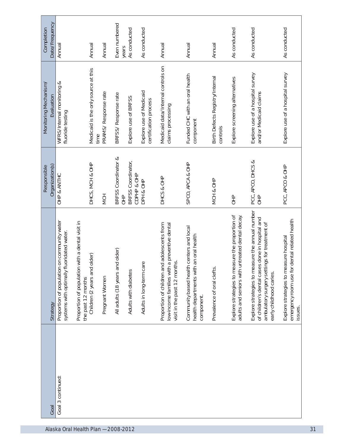| Date/Frequency<br>Completion        | Annual                                                                                      | Annual                                                                                                      | Annual                      | Even numbered<br>years             | As conducted                      | As conducted                                     | Annual                                                                                                                              | Annual                                                                                              | Annual                                      | As conducted                                                                                       | As conducted                                                                                                                                                                  | As conducted                                                                                        |
|-------------------------------------|---------------------------------------------------------------------------------------------|-------------------------------------------------------------------------------------------------------------|-----------------------------|------------------------------------|-----------------------------------|--------------------------------------------------|-------------------------------------------------------------------------------------------------------------------------------------|-----------------------------------------------------------------------------------------------------|---------------------------------------------|----------------------------------------------------------------------------------------------------|-------------------------------------------------------------------------------------------------------------------------------------------------------------------------------|-----------------------------------------------------------------------------------------------------|
| Monitoring Mechanism/<br>Evaluation | WFRS/Internal monitoring &<br>fluoride testing                                              | Medicaid is the only source at this                                                                         | PRAMS/Response rate<br>time | BRFSS/Response rate                | Explore use of BRFSS              | Explore use of Medicaid<br>certification process | Medicaid data/Internal controls on<br>claims processing                                                                             | Funded CHC with an oral health<br>component                                                         | Birth Defects Registry/Internal<br>controls | Explore screening alternatives                                                                     | Explore use of a hospital survey<br>and/or Medicaid claims                                                                                                                    | Explore use of a hospital survey                                                                    |
| Organization(s)<br>Responsible      | OHP & ANTHC                                                                                 | DHCS, MCH & OHP                                                                                             | NCH                         | BRFSS Coordinator &<br>$rac{P}{C}$ | BRFSS Coordinator,<br>CDPHP & OHP | DPH & OHP                                        | DHCS & OHP                                                                                                                          | SPCO, APCA & OHP                                                                                    | MCH & OHP                                   | $rac{1}{10}$                                                                                       | PCC, APCO, DHCS &<br>$\frac{1}{2}$                                                                                                                                            | PCC, APCO & OHP                                                                                     |
| Strategy                            | on community water<br>systems with optimally fluoridated water.<br>Proportion of population | with a dental visit in<br>older)<br>Proportion of population<br>Children (2 years and<br>the past 12 months | Pregnant Women              | All adults (18 years and older)    | Adults with diabetes              | Adults in long-term care                         | id adolescents from<br>a preventive dental<br>visit in the past 12 months.<br>low-income families with<br>Proportion of children ar | Community based health centers and local<br>an oral health<br>health departments with<br>component. | Prevalence of oral clefts.                  | Explore strategies to measure the proportion of<br>adults and seniors with untreated dental decay. | Explore strategies to measure the annual number<br>of children's dental cases done in hospital and<br>ambulatory surgery settings for treatment of<br>early childhood caries. | dental related health<br>Explore strategies to measure hospital<br>emergency room use for<br>issues |
| Goal                                | Goal 3 continued:                                                                           |                                                                                                             |                             |                                    |                                   |                                                  |                                                                                                                                     |                                                                                                     |                                             |                                                                                                    |                                                                                                                                                                               |                                                                                                     |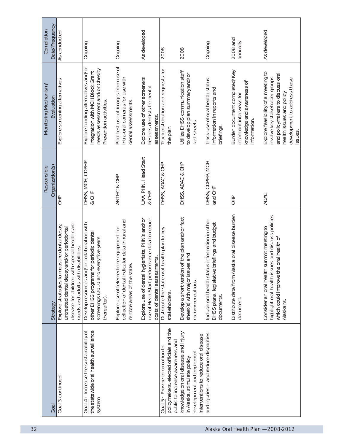| As conducted                                                                                                                                                                     | Ongoing                                                                                                                                        | Ongoing                                                                                                                     | As developed                                                                                                                   | 2008                                                                      | 2008                                                                                                  | Ongoing                                                                                                          | 2008 and<br>annually                                                                                    | As developed                                                                                                                                                                     |
|----------------------------------------------------------------------------------------------------------------------------------------------------------------------------------|------------------------------------------------------------------------------------------------------------------------------------------------|-----------------------------------------------------------------------------------------------------------------------------|--------------------------------------------------------------------------------------------------------------------------------|---------------------------------------------------------------------------|-------------------------------------------------------------------------------------------------------|------------------------------------------------------------------------------------------------------------------|---------------------------------------------------------------------------------------------------------|----------------------------------------------------------------------------------------------------------------------------------------------------------------------------------|
| Explore screening alternatives                                                                                                                                                   | Explore funding alternatives and/or<br>needs assessment and/or Obesity<br>integration with MCH Block Grant<br>Prevention activities.           | Pilot test use of images from use of<br>intra-oral cameras for use with<br>dental assessments                               | Explore use of other screeners<br>besides dentists for dental<br>assessments.                                                  | Track distribution and requests for<br>the plan.                          | Utilize DHSS communication staff<br>to develop plan summary and/or<br>fact sheets.                    | Track use of oral health status<br>information in reports and<br>briefings.                                      | Burden document completed/Key<br>knowledge and awareness of<br>informant interviews for<br>information. | Explore feasibility of a meeting to<br>and policymakers to discuss oral<br>involve key stakeholder groups<br>development to address these<br>health issues and policy<br>issues. |
| $rac{4}{5}$                                                                                                                                                                      | & OHP                                                                                                                                          | ANTHC & OHP                                                                                                                 | UAA, PHN, Head Start<br>8OHP                                                                                                   | DHSS, ADAC & OHP                                                          | DHSS, ADAC & OHP                                                                                      | DHSS, CDPHP, MCH<br>and OHP                                                                                      | $rac{P}{Q}$                                                                                             | ADAC                                                                                                                                                                             |
| disease for children with special health care<br>Explore strategies to measure dental decay,<br>untreated dental decay and/or periodontal<br>needs and adults with disabilities. | Develop resources and/or collaboration with<br>other DHSS programs for periodic dental<br>screenings (2010 and every five years<br>thereafter) | collection of dental indicator data in rural and<br>Explore use of telemedicine equipment for<br>remote areas of the state. | use of Head Start performance data to reduce<br>Explore use of dental hygienists, PHN's and/or<br>costs of dental assessments. | Distribute the state oral health plan to key<br>stakeholders.             | Develop a short version of the plan and/or fact<br>sheet(s) with major issues and<br>recommendations. | Include oral health status information in other<br>briefings and budget<br>DHSS plans, legislative<br>documents. | Distribute data from Alaska oral disease burden<br>document.                                            | highlight oral health issues and discuss policies<br>summit meeting to<br>which could improve the oral health of<br>Consider an oral health<br>Alaskans.                         |
| Goal 3 continued:                                                                                                                                                                | the statewide oral health surveillance<br>Goal 4: Increase the sustainability of<br>system.                                                    |                                                                                                                             |                                                                                                                                | policymakers, elected officials and the<br>Goal 5: Provide information to | knowledge on oral disease and injury<br>development and implement<br>in Alaska, stimulate policy      | and injuries - and reduce disparities.                                                                           |                                                                                                         |                                                                                                                                                                                  |
|                                                                                                                                                                                  |                                                                                                                                                | DHSS, MCH, CDPHP                                                                                                            |                                                                                                                                |                                                                           |                                                                                                       | public to increase awareness and                                                                                 | interventions to reduce oral disease                                                                    |                                                                                                                                                                                  |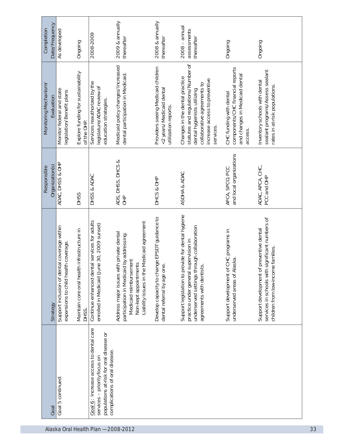| Date/Frequency<br>Completion        | As developed                                                                                | Ongoing                                              | 2008-2009                                                                                                                                           | 2009 & annually<br>thereafter                                                                                                                                                         | 2008 & annually<br>thereafter                                                          | $2008 - annual$<br>assessments<br>thereafter                                                                                                                                     | Ongoing                                                                                                  | Ongoing                                                                                                                                 |
|-------------------------------------|---------------------------------------------------------------------------------------------|------------------------------------------------------|-----------------------------------------------------------------------------------------------------------------------------------------------------|---------------------------------------------------------------------------------------------------------------------------------------------------------------------------------------|----------------------------------------------------------------------------------------|----------------------------------------------------------------------------------------------------------------------------------------------------------------------------------|----------------------------------------------------------------------------------------------------------|-----------------------------------------------------------------------------------------------------------------------------------------|
| Monitoring Mechanism/<br>Evaluation | Monitor federal and state<br>legislation/Benefit plans                                      | Explore funding for sustainability<br>of the OHP.    | Services reauthorized by the<br>legislature/ADAC review of<br>education strategies.                                                                 | Medicaid policy changes/Increased<br>dental participation in Medicaid.                                                                                                                | Providers seeing Medicaid children<br><2 years/Medicaid dental<br>utilization reports. | statutes and regulations/Number of<br>Changes in the dental practice<br>increase access to preventive<br>collaborative agreements to<br>dental hygienists utilizing<br>services. | components/CHC financial reports<br>and changes in Medicaid dental<br>CHC funding with dental<br>access. | sealant programs/Assess sealant<br>Inventory schools with dental<br>rates in at-risk populations.                                       |
| Organization(s)<br>Responsible      | ADAC, DHSS & OHP                                                                            | <b>DHSS</b>                                          | DHSS & ADAC                                                                                                                                         | DHSS, DHCS &<br>ADS,<br>OHP                                                                                                                                                           | DHCS & OHP                                                                             | ASDHA & ADAC                                                                                                                                                                     | and local organizations<br>APCA, SPCO, PCC                                                               | ADAC, APCA, CHC,<br>PCC and OHP                                                                                                         |
| Strategy                            | tal coverage within<br>th coverage.<br>Support inclusion of den<br>expansions to child heal | Maintain core oral health infrastructure in<br>DHSS. | Continue enhanced dental services for adults<br>enrolled in Medicaid (June 30, 2009 sunset)                                                         | Liability issues in the Medicaid agreement<br>Address major issues with private dental<br>participation in Medicaid by addressing:<br>Medicaid reimbursement<br>Non-kept appointments | Develop capacity to change EPSDT guidance to<br>dental referral by age one.            | ovide for dental hygiene<br>underserved settings through collaboration<br>practice under general supervision in<br>agreements with dentists.<br>Support legislation to pr        | CHC programs in<br>underserved areas of Alaska.<br>Support development of                                | significant numbers of<br>preventive dental<br>children from low-income families.<br>Support development of<br>services in schools with |
| Goal                                | Goal 5 continued:                                                                           |                                                      | Goal 6: Increase access to dental care<br>populations at-risk for oral disease or<br>complications of oral disease.<br>services - priority focus on |                                                                                                                                                                                       |                                                                                        |                                                                                                                                                                                  |                                                                                                          |                                                                                                                                         |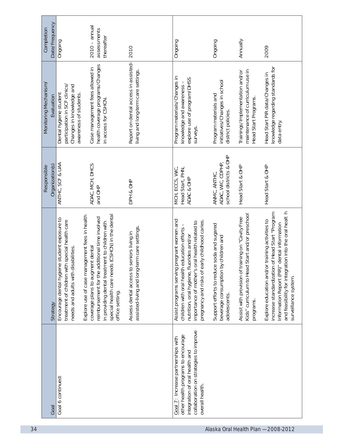| Date/Frequency<br>Completion<br>Ongoing                       | $2010 - annual$<br>assessments<br>thereafter                                                                                                                                                                                                                                                                                                         | 2010                                                                                         | Ongoing                                                                                                                                                                                                                                         | Ongoing                                                                                            | Annually                                                                                                          | 2009                                                                                                                                                                                                                                |
|---------------------------------------------------------------|------------------------------------------------------------------------------------------------------------------------------------------------------------------------------------------------------------------------------------------------------------------------------------------------------------------------------------------------------|----------------------------------------------------------------------------------------------|-------------------------------------------------------------------------------------------------------------------------------------------------------------------------------------------------------------------------------------------------|----------------------------------------------------------------------------------------------------|-------------------------------------------------------------------------------------------------------------------|-------------------------------------------------------------------------------------------------------------------------------------------------------------------------------------------------------------------------------------|
| Monitoring Mechanism/<br>Dental hygiene student<br>Evaluation | health coverage programs/Changes<br>Case management fees allowed in<br>participation in SCF clinics/<br>Changes in knowledge and<br>awareness of students.<br>in access for CSHCN.                                                                                                                                                                   | Report on dental access in assisted-<br>living and long-term care settings.                  | Program materials/Changes in<br>explore use of program/DHSS<br>knowledge and awareness<br>surveys.                                                                                                                                              | initiatives/Changes in school<br>Program materials and<br>district policies.                       | maintenance of curriculum use in<br>Trainings/Implementation and/or<br>Head Start Programs.                       | knowledge regarding standards for<br>Head Start PIR data/Changes in<br>data entry.                                                                                                                                                  |
| ANTHC, SCF & UAA<br>Organization(s)<br>Responsible            | ADAC, MCH, DHCS<br>and OHP                                                                                                                                                                                                                                                                                                                           | DPH & OHP                                                                                    | MCH, ECCS, WIC,<br>Head Start, PHN,<br>ADAC & OHP                                                                                                                                                                                               | school districts & OHP<br>ADAC, WIC, CDPHP,<br>ANMC, ANTHC,                                        | Head Start & OHP                                                                                                  | Head Start & OHP                                                                                                                                                                                                                    |
| Encourage dental hygiene student exposure to<br>Strategy      | special health care needs (CSHCN) in the dental<br>Explore use of case management fees in health<br>reimbursement for the additional time involved<br>treatment of children with special health care<br>in providing dental treatment to children with<br>coverage plans to augment dental<br>needs and adults with disabilities.<br>office setting. | assisted-living and long-term care settings.<br>seniors living in<br>Assess dental access to | pregnant women and<br>pregnancy and risks of early childhood caries.<br>importance of mother's oral health related to<br>education efforts<br>nutrition, oral hygiene, fluorides and/or<br>Assist programs serving<br>children with oral health | Support efforts to reduce soda and sugared<br>beverage consumption by children and<br>adolescents. | Kids" curriculum to Head Start and/or preschool<br>Assist with provision of training on "Cavity Free<br>programs. | and feasibility for integration into the oral healt h<br>increase standardization of Head Start "Program<br>Explore education and/or training activities to<br>Information Report (PIR)" dental information<br>surveillance system. |
| Goal 6 continued:<br>Goal                                     |                                                                                                                                                                                                                                                                                                                                                      |                                                                                              | collaboration on strategies to improve<br>other health programs to encourage<br>Goal 7: Increase partnerships with<br>integration of oral health and<br>overall health.                                                                         |                                                                                                    |                                                                                                                   |                                                                                                                                                                                                                                     |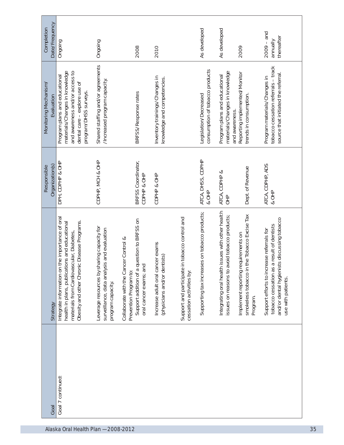| Date/Frequency<br>Completion        | Ongoing                                                                                                                                                                                        | Ongoing                                                                                                       | 2008                                                                                                                                | 2010                                                             |                                                                               | As developed                                             | As developed                                                                                        | 2009                                                                                           | $2009 - and$<br>thereafter<br>annually                                                                                                                      |  |
|-------------------------------------|------------------------------------------------------------------------------------------------------------------------------------------------------------------------------------------------|---------------------------------------------------------------------------------------------------------------|-------------------------------------------------------------------------------------------------------------------------------------|------------------------------------------------------------------|-------------------------------------------------------------------------------|----------------------------------------------------------|-----------------------------------------------------------------------------------------------------|------------------------------------------------------------------------------------------------|-------------------------------------------------------------------------------------------------------------------------------------------------------------|--|
| Monitoring Mechanism/<br>Evaluation | materials/Changes in knowledge<br>and awareness and/or access to<br>Program plans and educational<br>dental care - explore use of<br>program/DHSS surveys.                                     | Shared staffing and/or agreements<br>/Increased program capacity.                                             | BRFSS/Response rates                                                                                                                | Inventory trainings/Changes in<br>knowledge and competencies.    |                                                                               | consumption of tobacco products<br>Legislation/Decreased | materials/Changes in knowledge<br>Program plans and educational                                     | Reporting implemented/Monitor<br>trends in consumption.<br>and awareness.                      | tobacco cessation referrals - track<br>source that initiated the referral<br>Program materials/Changes in                                                   |  |
| Organization(s)<br>Responsible      | DPH, CDPHP & OHP                                                                                                                                                                               | CDPHP, MCH & OHP                                                                                              | BRFSS Coordinator,<br>CDPHP & OHP                                                                                                   | CDPHP & OHP                                                      |                                                                               | ATCA, DHSS, CDPHP<br>& OHP                               | ATCA, CDPHP &<br>OHP                                                                                | Dept. of Revenue                                                                               | ATCA, CDPHP, ADS<br>& OHP                                                                                                                                   |  |
| Strategy                            | the importance of oral<br>Obesity and other Chronic Disease Programs.<br>health in plans, publications and educational<br>materials from Cardiovascular, Diabetes,<br>Integrate information on | Leverage resources by sharing capacity for<br>surveillance, data analysis and evaluation<br>program capacity. | rest control of a question to BRFSS on<br>oral cancer exams; and<br>Collaborate with the Cancer Control &<br>Prevention Program to: | Increase adult oral cancer exams<br>(physicians and/or dentists) | in tobacco control and<br>Support and participate<br>cessation activities by: | Supporting tax increases on tobacco products;            | issues with other health<br>issues on reasons to avoid tobacco products;<br>Integrating oral health | smokeless tobacco in the Tobacco Excise Tax<br>Implement reporting requirements on<br>Program. | and/or dental hygienists discussing tobacco<br>tobacco cessation as a result of dentists<br>Support efforts to increase referrals for<br>use with patients. |  |
| Goal                                | Goal 7 continued:                                                                                                                                                                              |                                                                                                               |                                                                                                                                     |                                                                  |                                                                               |                                                          |                                                                                                     |                                                                                                |                                                                                                                                                             |  |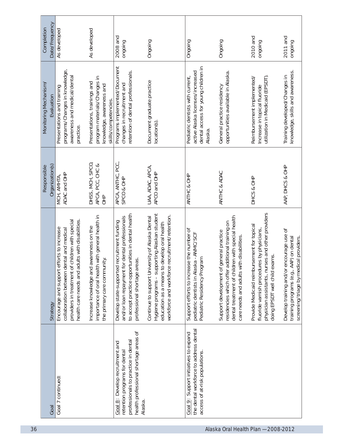| Date/Frequency<br>Completion        | As developed                                                                                                                                                                                | As developed                                                                                                                  | 2008 and<br>ongoing                                                                                                                                                                | Ongoing                                                                                                                                                                                              | Ongoing                                                                                                                | Ongoing                                                                                                                                                                                      | 2010 and<br>ongoing                                                                                                                                                           | 2011 and<br>ongoing                                                                                                           |
|-------------------------------------|---------------------------------------------------------------------------------------------------------------------------------------------------------------------------------------------|-------------------------------------------------------------------------------------------------------------------------------|------------------------------------------------------------------------------------------------------------------------------------------------------------------------------------|------------------------------------------------------------------------------------------------------------------------------------------------------------------------------------------------------|------------------------------------------------------------------------------------------------------------------------|----------------------------------------------------------------------------------------------------------------------------------------------------------------------------------------------|-------------------------------------------------------------------------------------------------------------------------------------------------------------------------------|-------------------------------------------------------------------------------------------------------------------------------|
| Monitoring Mechanism/<br>Evaluation | programs/Changes in knowledge,<br>awareness and medical/dental<br>Presentations and training<br>practice.                                                                                   | program materials/Changes in<br>Presentations, trainings and<br>knowledge, awareness and<br>skills/competencies.              | Programs implemented/Document<br>retention of dental professionals.<br>changes in recruitment and                                                                                  | Document graduate practice<br>location(s)                                                                                                                                                            | dental access for young children in<br>active Alaska licenses/increased<br>Pediatric dentists with current,<br>Alaska. | opportunities available in Alaska.<br>General practice residency                                                                                                                             | utilization in Medicaid (EPSDT).<br>Reimbursement implemented/<br>Increase in topical fluoride                                                                                | knowledge, skills and awareness.<br>Training developed/Changes in                                                             |
| Organization(s)<br>Responsible      | ADAC and OHP<br>MCH, AMHTA,                                                                                                                                                                 | DHSS, MCH, SPCO,<br>APCA, PCC, CHC &<br>OHP                                                                                   | APCA, ANTHC, PCC,<br>SPCO & OHP                                                                                                                                                    | UAA, ADAC, APCA,<br>APCO and OHP                                                                                                                                                                     | ANTHC & OHP                                                                                                            | ANTHC & ADAC                                                                                                                                                                                 | DHCS & OHP                                                                                                                                                                    | AAP, DHCS & OHP                                                                                                               |
| Strategy                            | health care needs and adults with disabilities.<br>providers in treatment of children with special<br>Encourage and support efforts to increase<br>collaboration between dental and medical | importance of oral health with general health in<br>awareness on the<br>the primary care community.<br>Increase knowledge and | to accept practice opportunities in dental health<br>and/or loan repayment for dental professionals<br>Develop state-supported recruitment funding<br>professional shortage areas. | Hygiene programs - supporting Alaskan student<br>recruitment/retention.<br>Continue to support University of Alaska Dental<br>education as a means to develop oral health<br>workforce and workforce | Support efforts to increase the number of<br>pediatric dentists in Alaska - ANMC/SCF<br>Pediatric Residency Program    | dental treatment of children with special health<br>residencies which offer additional training on<br>general practice<br>care needs and adults with disabilities.<br>Support development of | physician assistants, nurses and other providers<br>Provide Medicaid reimbursement for topical<br>fluoride varnish procedures by physicians,<br>doing EPSDT well child exams. | Develop training and/or encourage use of<br>training programs (e.g., AAP) on dental<br>screening/triage by medical providers. |
| Goal                                | Goal 7 continued:                                                                                                                                                                           |                                                                                                                               | health professional shortage areas of<br>professionals to practice in dental<br>Goal 8: Develop recruitment and<br>retention programs for dental<br>Alaska.                        |                                                                                                                                                                                                      | the dental workforce to address dental<br>Goal 9: Support initiatives to expand<br>access of at-risk populations.      |                                                                                                                                                                                              |                                                                                                                                                                               |                                                                                                                               |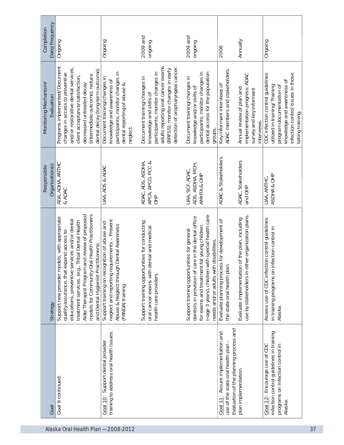| Date/Frequency<br>Completion<br>Ongoing                                                                                                                                                                                                                                                                                                                   | Ongoing                                                                                                                                                       | 2009 and<br>ongoing                                                                                                                                                                                          | 2009 and<br>ongoing                                                                                                                                                                                                                                                                                                                                                                                                                                                                                                                                                                              | Annually<br>2008                                                                                                                         |                                                                          | Ongoing                                                                                                                                                                              |
|-----------------------------------------------------------------------------------------------------------------------------------------------------------------------------------------------------------------------------------------------------------------------------------------------------------------------------------------------------------|---------------------------------------------------------------------------------------------------------------------------------------------------------------|--------------------------------------------------------------------------------------------------------------------------------------------------------------------------------------------------------------|--------------------------------------------------------------------------------------------------------------------------------------------------------------------------------------------------------------------------------------------------------------------------------------------------------------------------------------------------------------------------------------------------------------------------------------------------------------------------------------------------------------------------------------------------------------------------------------------------|------------------------------------------------------------------------------------------------------------------------------------------|--------------------------------------------------------------------------|--------------------------------------------------------------------------------------------------------------------------------------------------------------------------------------|
| Programs implemented/Document<br>and/or restorative dental services,<br>dental decay (long-term outcome)<br>changes in access to preventive<br>(intermediate outcome), reduce<br>client acceptance/satisfaction,<br>Monitoring Mechanism/<br>decreased untreated decay<br>Evaluation                                                                      | participants; monitor changes in<br>Document training/changes in<br>knowledge and awareness of<br>dental reporting of abuse &<br>neglect.                     | adults reporting oral cancer exams<br>detection of oropharyngeal cancer.<br>(BRFSS): monitor changes in early<br>participants; monitor changes in<br>Document training/changes in<br>knowledge and skills of | dental access for the population<br>participants; monitor changes in<br>Document training/changes in<br>knowledge and/or skills of<br>groups.                                                                                                                                                                                                                                                                                                                                                                                                                                                    | ADAC members and stakeholders.<br>Key informant interviews of<br>Annual review of plan and                                               | implementation progress: ADAC<br>survey and key informant<br>interviews. | CDC infection control quidelines<br>infection control issues in those<br>knowledge and awareness of<br>utilized in training/Training<br>program documentation of<br>taking training. |
| ADA, ADHA, ANTHC<br>Organization(s)<br>Responsible<br>& ADAC                                                                                                                                                                                                                                                                                              | UAA, ADS & ADAC                                                                                                                                               | ADAC, ADS, ASDHA,<br>APCA, APCO, PCC &<br>$rac{1}{2}$                                                                                                                                                        | ADS, ASDHA, MCH,<br>UAA, SCF, ADAC,<br>AMHTA & OHP                                                                                                                                                                                                                                                                                                                                                                                                                                                                                                                                               | <b>ADAC &amp; Stakeholders</b><br>ADAC, Stakeholders                                                                                     | and OHP                                                                  | ASDHA& OHP<br>UAA, ANTHC,                                                                                                                                                            |
| models for Community Oral Health Practitioners<br>Aide/Therapist Program and review of proposed<br>odels, with appropriate<br>educations, preventive services and/or dental<br>treatment services. (e.g., Tribal Dental Health<br>quality assurance, that expand access to<br>and Dental Hygienist Practitioners).<br>Support new provider me<br>Strategy | neglect and reporting requirements - Prevent<br>Support training on recognition of abuse and<br>Abuse & Neglect through Dental Awareness<br>(PANDA) training. | Support training opportunities for conducting<br>oral cancer exams with dental and medical<br>health care providers.                                                                                         | with special health care<br>dentists in provision of care in the dental office<br>for exams and treatment for young children<br>Support training opportunities for general<br>needs and/or adults with disabilities.<br>( <age 3="" children<="" td="" years),=""><td>Evaluate implementation of the plan, including<br/>Evaluate planning process for development of<br/>the state oral health plan.</td><td>use by stakeholders in other organization plans</td><td>Assess use of CDC infection control guidelines<br/>infection control in<br/>in training programs on<br/>Alaska.</td></age> | Evaluate implementation of the plan, including<br>Evaluate planning process for development of<br>the state oral health plan.            | use by stakeholders in other organization plans                          | Assess use of CDC infection control guidelines<br>infection control in<br>in training programs on<br>Alaska.                                                                         |
| Goal 9 continued:<br>Goal                                                                                                                                                                                                                                                                                                                                 | training to address oral health issues.<br>Goal 10: Support dental provider                                                                                   |                                                                                                                                                                                                              |                                                                                                                                                                                                                                                                                                                                                                                                                                                                                                                                                                                                  | Evaluation of the planning process and<br>Goal 11: Assure implementation and<br>use of the state oral health plan<br>plan implementation |                                                                          | infection control guidelines in training<br>Goal 12: Encourage use of CDC<br>programs on infection control in<br>Alaska.                                                             |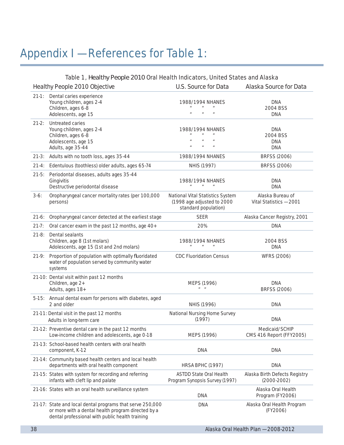# Appendix I — References for Table 1:

| Table 1, Healthy People 2010 Oral Health Indicators, United States and Alaska |                                                                                                                                                                    |                                                                                                                                    |                                                    |  |  |  |
|-------------------------------------------------------------------------------|--------------------------------------------------------------------------------------------------------------------------------------------------------------------|------------------------------------------------------------------------------------------------------------------------------------|----------------------------------------------------|--|--|--|
|                                                                               | Healthy People 2010 Objective                                                                                                                                      | U.S. Source for Data                                                                                                               | Alaska Source for Data                             |  |  |  |
| $21-1:$                                                                       | Dental caries experience<br>Young children, ages 2-4<br>Children, ages 6-8<br>Adolescents, age 15                                                                  | 1988/1994 NHANES<br>$\boldsymbol{u}$<br>$\mathbf{u}$<br>$\mathbf{u}$<br>$\mathbf{u}$                                               | <b>DNA</b><br>2004 BSS<br><b>DNA</b>               |  |  |  |
| $21-2:$                                                                       | Untreated caries<br>Young children, ages 2-4<br>Children, ages 6-8<br>Adolescents, age 15<br>Adults, age 35-44                                                     | 1988/1994 NHANES<br>$\boldsymbol{\mathit{u}}$<br>$\mathbf{u}$<br>$\mathbf{u}$                                                      | <b>DNA</b><br>2004 BSS<br><b>DNA</b><br><b>DNA</b> |  |  |  |
| $21-3:$                                                                       | Adults with no tooth loss, ages 35-44                                                                                                                              | 1988/1994 NHANES                                                                                                                   | BRFSS (2006)                                       |  |  |  |
| $21-4:$                                                                       | Edentulous (toothless) older adults, ages 65-74                                                                                                                    | NHIS (1997)                                                                                                                        | BRFSS (2006)                                       |  |  |  |
| $21-5:$<br>$3-6:$                                                             | Periodontal diseases, adults ages 35-44<br>Gingivitis<br>Destructive periodontal disease<br>Oropharyngeal cancer mortality rates (per 100,000                      | 1988/1994 NHANES<br>$\boldsymbol{u}$<br>$\boldsymbol{\mathit{u}}$<br>$\boldsymbol{\mathit{u}}$<br>National Vital Statistics System | <b>DNA</b><br><b>DNA</b><br>Alaska Bureau of       |  |  |  |
|                                                                               | persons)                                                                                                                                                           | (1998 age adjusted to 2000<br>standard population)                                                                                 | Vital Statistics - 2001                            |  |  |  |
| $21-6:$                                                                       | Oropharyngeal cancer detected at the earliest stage                                                                                                                | <b>SEER</b>                                                                                                                        | Alaska Cancer Registry, 2001                       |  |  |  |
| $21 - 7:$                                                                     | Oral cancer exam in the past 12 months, age 40+                                                                                                                    | 20%                                                                                                                                | <b>DNA</b>                                         |  |  |  |
| $21-8:$                                                                       | Dental sealants<br>Children, age 8 (1st molars)<br>Adolescents, age 15 (1st and 2nd molars)                                                                        | 1988/1994 NHANES<br>$\boldsymbol{u}$                                                                                               | 2004 BSS<br><b>DNA</b>                             |  |  |  |
| $21-9:$                                                                       | Proportion of population with optimally fluoridated<br>water of population served by community water<br>systems                                                    | <b>CDC Fluoridation Census</b>                                                                                                     | <b>WFRS (2006)</b>                                 |  |  |  |
|                                                                               | 21-10: Dental visit within past 12 months<br>Children, age 2+<br>Adults, ages 18+                                                                                  | MEPS (1996)<br>$\mathbf{u} = \mathbf{u}$                                                                                           | <b>DNA</b><br><b>BRFSS (2006)</b>                  |  |  |  |
|                                                                               | 5-15: Annual dental exam for persons with diabetes, aged<br>2 and older                                                                                            | NHIS (1996)                                                                                                                        | <b>DNA</b>                                         |  |  |  |
|                                                                               | 21-11: Dental visit in the past 12 months<br>Adults in long-term care                                                                                              | National Nursing Home Survey<br>(1997)                                                                                             | <b>DNA</b>                                         |  |  |  |
|                                                                               | 21-12: Preventive dental care in the past 12 months<br>Low-income children and adolescents, age 0-18                                                               | MEPS (1996)                                                                                                                        | Medicaid/SCHIP<br>CMS 416 Report (FFY2005)         |  |  |  |
|                                                                               | 21-13: School-based health centers with oral health<br>component, K-12                                                                                             | <b>DNA</b>                                                                                                                         | <b>DNA</b>                                         |  |  |  |
|                                                                               | 21-14: Community based health centers and local health<br>departments with oral health component                                                                   | HRSA BPHC (1997)                                                                                                                   | <b>DNA</b>                                         |  |  |  |
|                                                                               | 21-15: States with system for recording and referring<br>infants with cleft lip and palate                                                                         | <b>ASTDD State Oral Health</b><br>Program Synopsis Survey (1997)                                                                   | Alaska Birth Defects Registry<br>$(2000-2002)$     |  |  |  |
|                                                                               | 21-16: States with an oral health surveillance system                                                                                                              | DNA                                                                                                                                | Alaska Oral Health<br>Program (FY2006)             |  |  |  |
|                                                                               | 21-17: State and local dental programs that serve 250,000<br>or more with a dental health program directed by a<br>dental professional with public health training | <b>DNA</b>                                                                                                                         | Alaska Oral Health Program<br>(FY2006)             |  |  |  |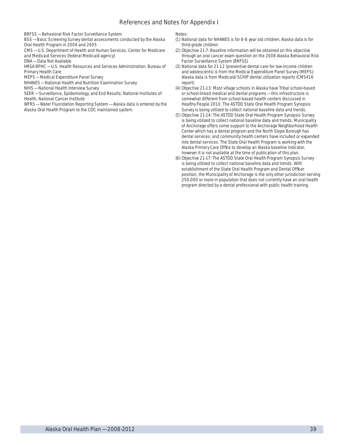#### References and Notes for Appendix I

BRFSS — Behavioral Risk Factor Surveillance System

BSS — Basic Screening Survey dental assessments conducted by the Alaska Oral Health Program in 2004 and 2005

CMS — U.S. Department of Health and Human Services, Center for Medicare and Medicaid Services (federal Medicaid agency)

DNA — Data Not Available

HRSA BPHC — U.S. Health Resources and Services Administration, Bureau of Primary Health Care

MEPS — Medical Expenditure Panel Survey

NHANES — National Health and Nutrition Examination Survey

NHIS — National Health Interview Survey

SEER — Surveillance, Epidemiology, and End Results; National Institutes of Health, National Cancer Institute

WFRS — Water Fluoridation Reporting System — Alaska data is entered by the Alaska Oral Health Program to the CDC maintained system.

Notes:

- (1) National data for NHANES is for 6-8 year old children; Alaska data is for third-grade children
- (2) Objective 21-7: Baseline information will be obtained on this objective through an oral cancer exam question on the 2008 Alaska Behavioral Risk Factor Surveillance System (BRFSS)
- (3) National data for 21-12 (preventive dental care for low-income children and adolescents) is from the Medical Expenditure Panel Survey (MEPS); Alaska data is from Medicaid/SCHIP dental utilization reports (CMS416 report)
- (4) Objective 21-13: Most village schools in Alaska have Tribal school-based or school-linked medical and dental programs — this infrastructure is somewhat different from school-based health centers discussed in Healthy People 2010. The ASTDD State Oral Health Program Synopsis Survey is being utilized to collect national baseline data and trends.
- (5) Objective 21-14: The ASTDD State Oral Health Program Synopsis Survey is being utilized to collect national baseline data and trends. Municipality of Anchorage offers some support to the Anchorage Neighborhood Health Center which has a dental program and the North Slope Borough has dental services; and community health centers have included or expanded into dental services. The State Oral Health Program is working with the Alaska Primary Care Office to develop an Alaska baseline indicator, however it is not available at the time of publication of this plan.
- (6) Objective 21-17: The ASTDD State Oral Health Program Synopsis Survey is being utilized to collect national baseline data and trends. With establishment of the State Oral Health Program and Dental Officer position, the Municipality of Anchorage is the only other jurisdiction serving 250,000 or more in population that does not currently have an oral health program directed by a dental professional with public health training.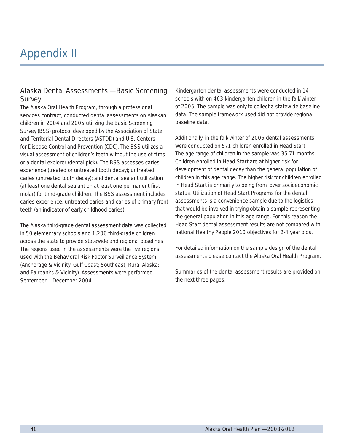# Appendix II

### Alaska Dental Assessments — Basic Screening **Survey**

The Alaska Oral Health Program, through a professional services contract, conducted dental assessments on Alaskan children in 2004 and 2005 utilizing the Basic Screening Survey (BSS) protocol developed by the Association of State and Territorial Dental Directors (ASTDD) and U.S. Centers for Disease Control and Prevention (CDC). The BSS utilizes a visual assessment of children's teeth without the use of films or a dental explorer (dental pick). The BSS assesses caries experience (treated or untreated tooth decay); untreated caries (untreated tooth decay); and dental sealant utilization (at least one dental sealant on at least one permanent first molar) for third-grade children. The BSS assessment includes caries experience, untreated caries and caries of primary front teeth (an indicator of early childhood caries).

The Alaska third-grade dental assessment data was collected in 50 elementary schools and 1,206 third-grade children across the state to provide statewide and regional baselines. The regions used in the assessments were the five regions used with the Behavioral Risk Factor Surveillance System (Anchorage & Vicinity; Gulf Coast; Southeast; Rural Alaska; and Fairbanks & Vicinity). Assessments were performed September – December 2004.

Kindergarten dental assessments were conducted in 14 schools with on 463 kindergarten children in the fall/winter of 2005. The sample was only to collect a statewide baseline data. The sample framework used did not provide regional baseline data.

Additionally, in the fall/winter of 2005 dental assessments were conducted on 571 children enrolled in Head Start. The age range of children in the sample was 35-71 months. Children enrolled in Head Start are at higher risk for development of dental decay than the general population of children in this age range. The higher risk for children enrolled in Head Start is primarily to being from lower socioeconomic status. Utilization of Head Start Programs for the dental assessments is a convenience sample due to the logistics that would be involved in trying obtain a sample representing the general population in this age range. For this reason the Head Start dental assessment results are not compared with national Healthy People 2010 objectives for 2-4 year olds.

For detailed information on the sample design of the dental assessments please contact the Alaska Oral Health Program.

Summaries of the dental assessment results are provided on the next three pages.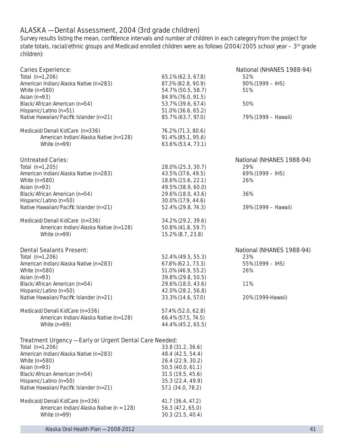### ALASKA — Dental Assessment, 2004 (3rd grade children)

Survey results listing the mean, confidence intervals and number of children in each category from the project for state totals, racial/ethnic groups and Medicaid enrolled children were as follows (2004/2005 school year – 3rd grade children):

| <b>Caries Experience:</b>                               |                    | National (NHANES 1988-94) |
|---------------------------------------------------------|--------------------|---------------------------|
| Total (n=1,206)                                         | 65.1% (62.3, 67.8) | 52%                       |
| American Indian/Alaska Native (n=283)                   | 87.3% (82.8, 90.9) | 90% (1999 - IHS)          |
| White (n=580)                                           | 54.7% (50.5, 58.7) | 51%                       |
| Asian (n=93)                                            | 84.9% (76.0, 91.5) |                           |
| Black/African American (n=54)                           | 53.7% (39.6, 67.4) | 50%                       |
| Hispanic/Latino (n=51)                                  | 51.0% (36.6, 65.2) |                           |
| Native Hawaiian/Pacific Islander (n=21)                 | 85.7% (63.7, 97.0) | 79% (1999 – Hawaii)       |
| Medicaid/Denali KidCare (n=336)                         | 76.2% (71.3, 80.6) |                           |
| American Indian/Alaska Native (n=128)                   | 91.4% (85.1, 95.6) |                           |
| White $(n=99)$                                          | 63.6% (53.4, 73.1) |                           |
| <b>Untreated Caries:</b>                                |                    | National (NHANES 1988-94) |
| Total (n=1,205)                                         | 28.0% (25.3, 30.7) | 29%                       |
| American Indian/Alaska Native (n=283)                   | 43.5% (37.6, 49.5) | 69% (1999 - IHS)          |
| White (n=580)                                           | 18.6% (15.6, 22.1) | 26%                       |
| Asian (n=93)                                            | 49.5% (38.9, 60.0) |                           |
| Black/African American (n=54)                           | 29.6% (18.0, 43.6) | 36%                       |
| Hispanic/Latino (n=50)                                  | 30.0% (17.9, 44.6) |                           |
| Native Hawaiian/Pacific Islander (n=21)                 | 52.4% (29.8, 74.3) | 39% (1999 - Hawaii)       |
|                                                         |                    |                           |
| Medicaid/Denali KidCare (n=336)                         | 34.2% (29.2, 39.6) |                           |
| American Indian/Alaska Native (n=128)                   | 50.8% (41.8, 59.7) |                           |
| White $(n=99)$                                          | 15.2% (8.7, 23.8)  |                           |
| <b>Dental Sealants Present:</b>                         |                    | National (NHANES 1988-94) |
| Total (n=1,206)                                         | 52.4% (49.5, 55.3) | 23%                       |
| American Indian/Alaska Native (n=283)                   | 67.8% (62.1, 73.3) | 55% (1999 – IHS)          |
| White (n=580)                                           | 51.0% (46.9, 55.2) | 26%                       |
| Asian (n=93)                                            | 39.8% (29.8, 50.5) |                           |
| Black/African American (n=54)                           | 29.6% (18.0, 43.6) | 11%                       |
| Hispanic/Latino (n=50)                                  | 42.0% (28.2, 56.8) |                           |
| Native Hawaiian/Pacific Islander (n=21)                 | 33.3% (14.6, 57.0) | 20% (1999-Hawaii)         |
| Medicaid/Denali KidCare (n=336)                         | 57.4% (52.0, 62.8) |                           |
| American Indian/Alaska Native (n=128)                   | 66.4% (57.5, 74.5) |                           |
| White $(n=99)$                                          | 44.4% (45.2, 65.5) |                           |
| Treatment Urgency - Early or Urgent Dental Care Needed: |                    |                           |
| Total (n=1,206)                                         | 33.8 (31.2, 36.6)  |                           |
| American Indian/Alaska Native (n=283)                   | 48.4 (42.5, 54.4)  |                           |
| White (n=580)                                           | 26.4 (22.9, 30.2)  |                           |
| Asian (n=93)                                            | 50.5 (40.0, 61.1)  |                           |
| Black/African American (n=54)                           | 31.5 (19.5, 45.6)  |                           |
| Hispanic/Latino (n=50)                                  | 35.3 (22.4, 49.9)  |                           |
| Native Hawaiian/Pacific Islander (n=21)                 | 57.1 (34.0, 78.2)  |                           |
| Medicaid/Denali KidCare (n=336)                         | 41.7 (36.4, 47.2)  |                           |
| American Indian/Alaska Native (n = 128)                 | 56.3 (47.2, 65.0)  |                           |
| White $(n=99)$                                          | 30.3 (21.5, 40.4)  |                           |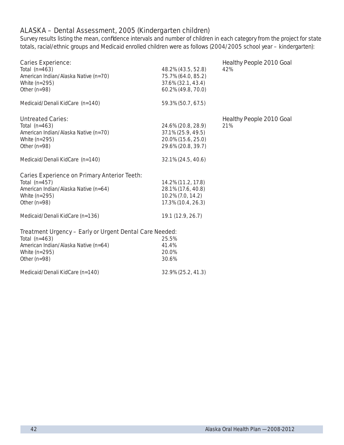### ALASKA – Dental Assessment, 2005 (Kindergarten children)

Medicaid/Denali KidCare (n=140) 32.9% (25.2, 41.3)

Survey results listing the mean, confidence intervals and number of children in each category from the project for state totals, racial/ethnic groups and Medicaid enrolled children were as follows (2004/2005 school year – kindergarten):

| <b>Caries Experience:</b><br>Total $(n=463)$<br>American Indian/Alaska Native (n=70)<br>White $(n=295)$<br>Other ( $n=98$ )<br>Medicaid/Denali KidCare (n=140) | 48.2% (43.5, 52.8)<br>75.7% (64.0, 85.2)<br>37.6% (32.1, 43.4)<br>60.2% (49.8, 70.0)<br>59.3% (50.7, 67.5) | <b>Healthy People 2010 Goal</b><br>42% |
|----------------------------------------------------------------------------------------------------------------------------------------------------------------|------------------------------------------------------------------------------------------------------------|----------------------------------------|
| <b>Untreated Caries:</b><br>Total $(n=463)$<br>American Indian/Alaska Native (n=70)<br>White $(n=295)$<br>Other ( $n=98$ )                                     | 24.6% (20.8, 28.9)<br>37.1% (25.9, 49.5)<br>20.0% (15.6, 25.0)<br>29.6% (20.8, 39.7)                       | Healthy People 2010 Goal<br>21%        |
| Medicaid/Denali KidCare (n=140)                                                                                                                                | 32.1% (24.5, 40.6)                                                                                         |                                        |
| <b>Caries Experience on Primary Anterior Teeth:</b><br>Total $(n=457)$<br>American Indian/Alaska Native (n=64)<br>White $(n=295)$<br>Other ( $n=98$ )          | 14.2% (11.2, 17.8)<br>28.1% (17.6, 40.8)<br>10.2% (7.0, 14.2)<br>17.3% (10.4, 26.3)                        |                                        |
| Medicaid/Denali KidCare (n=136)                                                                                                                                | 19.1 (12.9, 26.7)                                                                                          |                                        |
| Treatment Urgency - Early or Urgent Dental Care Needed:<br>Total $(n=463)$<br>American Indian/Alaska Native (n=64)<br>White $(n=295)$                          | 25.5%<br>41.4%<br>20.0%                                                                                    |                                        |
| Other ( $n=98$ )                                                                                                                                               | 30.6%                                                                                                      |                                        |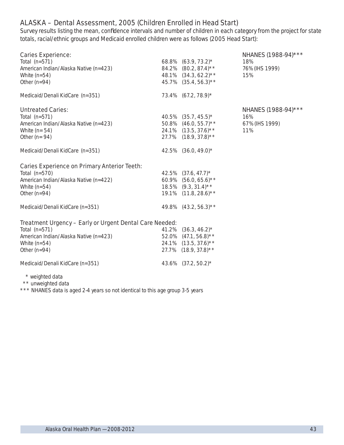# ALASKA – Dental Assessment, 2005 (Children Enrolled in Head Start)

Survey results listing the mean, confidence intervals and number of children in each category from the project for state totals, racial/ethnic groups and Medicaid enrolled children were as follows (2005 Head Start):

| <b>Caries Experience:</b><br>Total $(n=571)$<br>American Indian/Alaska Native (n=423)<br>White $(n=54)$<br>Other ( $n=94$ )                               |       | 68.8% $(63.9, 73.2)^*$<br>84.2% (80.2, 87.4)**<br>48.1% (34.3, 62.2)**<br>45.7% (35.4, 56.3)**            | NHANES (1988-94)***<br>18%<br>76% (IHS 1999)<br>15% |
|-----------------------------------------------------------------------------------------------------------------------------------------------------------|-------|-----------------------------------------------------------------------------------------------------------|-----------------------------------------------------|
| Medicaid/Denali KidCare (n=351)                                                                                                                           |       | 73.4% (67.2, 78.9)*                                                                                       |                                                     |
| <b>Untreated Caries:</b><br>Total $(n=571)$<br>American Indian/Alaska Native (n=423)<br>White $(n=54)$<br>Other ( $n = 94$ )                              |       | 40.5% $(35.7, 45.5)^*$<br>50.8% $(46.0, 55.7)$ **<br>$24.1\%$ $(13.5, 37.6)$ **<br>27.7% (18.9, 37.8)**   | NHANES (1988-94)***<br>16%<br>67% (IHS 1999)<br>11% |
| Medicaid/Denali KidCare (n=351)                                                                                                                           |       | 42.5% (36.0, 49.0)*                                                                                       |                                                     |
| <b>Caries Experience on Primary Anterior Teeth:</b><br>Total $(n=570)$<br>American Indian/Alaska Native (n=422)<br>White $(n=54)$<br>Other ( $n=94$ )     |       | 42.5% $(37.6, 47.7)^*$<br>60.9% $(56.0, 65.6)$ **<br>$18.5\%$ $(9.3, 31.4)$ **<br>19.1% (11.8, 28.6)**    |                                                     |
| Medicaid/Denali KidCare (n=351)                                                                                                                           |       | 49.8% $(43.2, 56.3)$ **                                                                                   |                                                     |
| Treatment Urgency - Early or Urgent Dental Care Needed:<br>Total $(n=571)$<br>American Indian/Alaska Native (n=423)<br>White $(n=54)$<br>Other ( $n=94$ ) | 41.2% | $(36.3, 46.2)^*$<br>52.0% $(47.1, 56.8)$ **<br>24.1% $(13.5, 37.6)$ <sup>**</sup><br>27.7% (18.9, 37.8)** |                                                     |
| Medicaid/Denali KidCare (n=351)                                                                                                                           |       | 43.6% (37.2, 50.2)*                                                                                       |                                                     |
| * weighted data<br>$\star\star$ unweighted hata                                                                                                           |       |                                                                                                           |                                                     |

unweighted data

\*\*\* NHANES data is aged 2-4 years so not identical to this age group 3-5 years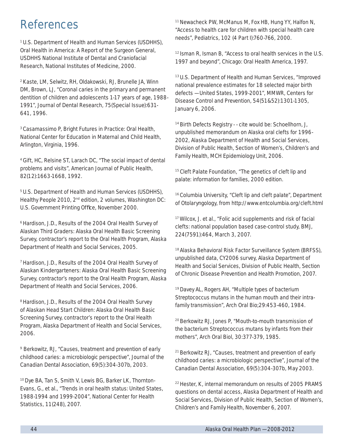# References

1 U.S. Department of Health and Human Services (USDHHS), *Oral Health in America: A Report of the Surgeon General,*  USDHHS National Institute of Dental and Craniofacial Research, National Institutes of Medicine, 2000.

2 Kaste, LM, Selwitz, RH, Oldakowski, RJ, Brunelle JA, Winn DM, Brown, LJ, "Coronal caries in the primary and permanent dentition of children and adolescents 1-17 years of age, 1988- 1991", *Journal of Dental Research,* 75(Special Issue):631- 641, 1996.

3 Casamassimo P, *Bright Futures in Practice: Oral Health,* National Center for Education in Maternal and Child Health, Arlington, Virginia, 1996.

4 Gift, HC, Relsine ST, Larach DC, "The social impact of dental problems and visits", *American Journal of Public Health*, 82(12):1663-1668, 1992.

5 U.S. Department of Health and Human Services (USDHHS), *Healthy People 2010*, 2<sup>nd</sup> edition, 2 volumes, Washington DC: U.S. Government Printing Office, November 2000.

6 Hardison, J.D., *Results of the 2004 Oral Health Survey of Alaskan Third Graders: Alaska Oral Health Basic Screening Survey*, contractor's report to the Oral Health Program, Alaska Department of Health and Social Services, 2005.

7 Hardison, J.D., *Results of the 2004 Oral Health Survey of Alaskan Kindergarteners: Alaska Oral Health Basic Screening Survey*, contractor's report to the Oral Health Program, Alaska Department of Health and Social Services, 2006.

8 Hardison, J.D., *Results of the 2004 Oral Health Survey of Alaskan Head Start Children: Alaska Oral Health Basic Screening Survey*, contractor's report to the Oral Health Program, Alaska Department of Health and Social Services, 2006.

9 Berkowitz, RJ, "Causes, treatment and prevention of early childhood caries: a microbiologic perspective", *Journal of the Canadian Dental Association,* 69(5):304-307b, 2003.

10 Dye BA, Tan S, Smith V, Lewis BG, Barker LK, Thornton-Evans, G., et al., "Trends in oral health status: United States, 1988-1994 and 1999-2004", National Center for Health Statistics, 11(248), 2007.

11 Newacheck PW, McManus M, Fox HB, Hung YY, Halfon N, "Access to health care for children with special health care needs", *Pediatrics,* 102 (4 Part I):760-766, 2000.

12 Isman R, Isman B, "Access to oral health services in the U.S. 1997 and beyond", Chicago: Oral Health America, 1997.

13 U.S. Department of Health and Human Services, "Improved national prevalence estimates for 18 selected major birth defects — United States, 1999-2001", *MMWR*, Centers for Disease Control and Prevention, 54(51&52):1301-1305, January 6, 2006.

<sup>14</sup> Birth Defects Registry - - cite would be: Schoellhorn, J, unpublished memorandum on Alaska oral clefts for 1996- 2002, Alaska Department of Health and Social Services, Division of Public Health, Section of Women's, Children's and Family Health, MCH Epidemiology Unit, 2006.

<sup>15</sup> Cleft Palate Foundation, "The genetics of cleft lip and palate: information for families, 2000 edition.

16 Columbia University, "Cleft lip and cleft palate", Department of Otolaryngology, from http://www.entcolumbia.org/cleft.html

17 Wilcox, J. et al., "Folic acid supplements and risk of facial clefts: national population based case-control study, *BMJ*, 224(7591):464, March 3, 2007.

<sup>18</sup> Alaska Behavioral Risk Factor Surveillance System (BRFSS), unpublished data, CY2006 survey, Alaska Department of Health and Social Services, Division of Public Health, Section of Chronic Disease Prevention and Health Promotion, 2007.

19 Davey AL, Rogers AH, "Multiple types of bacterium *Streptococcus mutans* in the human mouth and their intrafamily transmission", *Arch Oral Bio;*29:453-460, 1984.

20 Berkowitz RJ, Jones P, "Mouth-to-mouth transmission of the bacterium *Streptococcus mutans* by infants from their mothers", *Arch Oral Biol*, 30:377-379, 1985.

21 Berkowitz RJ, "Causes, treatment and prevention of early childhood caries: a microbiologic perspective", Journal of the Canadian Dental Association, 69(5):304-307b, May 2003.

22 Hester, K, internal memorandum on results of 2005 PRAMS questions on dental access, Alaska Department of Health and Social Services, Division of Public Health, Section of Women's, Children's and Family Health, November 6, 2007.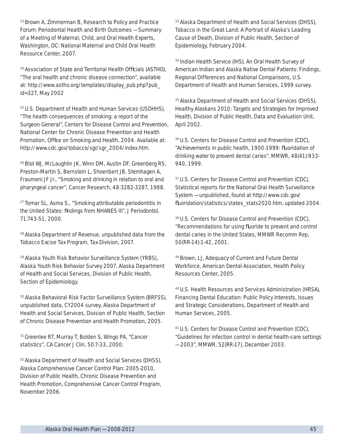23 Brown A, Zimmerman B, *Research to Policy and Practice Forum: Periodontal Health and Birth Outcomes — Summary of a Meeting of Maternal, Child, and Oral Health Experts,*  Washington, DC: National Maternal and Child Oral Health Resource Center, 2007.

<sup>24</sup> Association of State and Territorial Health Officials (ASTHO), "The oral health and chronic disease connection", available at: http://www.astho.org/templates/display\_pub.php?pub\_ id=327, May 2002

25 U.S. Department of Health and Human Services (USDHHS), "The health consequences of smoking: a report of the Surgeon General", Centers for Disease Control and Prevention, National Center for Chronic Disease Prevention and Health Promotion, Office on Smoking and Health, 2004. Available at: http://www.cdc.gov/tobacco/sgr/sgr\_2004/index.htm.

26 Blot WJ, McLaughlin JK, Winn DM, Austin DF, Greenberg RS, Preston-Martin S, Bernstein L, Shoenbert JB, Stemhagen A, Fraumeni JF Jr., "Smoking and drinking in relation to oral and pharyngeal cancer", *Cancer Research*, 48:3282-3287, 1988.

<sup>27</sup> Tomar SL, Asma S., "Smoking attributable periodontitis in the United States: findings from NHANES III", *J Periodontol*, 71:743-51, 2000.

28 Alaska Department of Revenue, unpublished data from the Tobacco Excise Tax Program, Tax Division, 2007.

29 Alaska Youth Risk Behavior Surveillance System (YRBS), Alaska Youth Risk Behavior Survey 2007, Alaska Department of Health and Social Services, Division of Public Health, Section of Epidemiology.

30 Alaska Behavioral Risk Factor Surveillance System (BRFSS), unpublished data, CY2004 survey, Alaska Department of Health and Social Services, Division of Public Health, Section of Chronic Disease Prevention and Health Promotion, 2005.

31 Greenlee RT, Murray T, Bolden S, Wingo PA, "Cancer statistics", CA Cancer J Clin, 50:7-33, 2000.

<sup>32</sup> Alaska Department of Health and Social Services (DHSS), *Alaska Comprehensive Cancer Control Plan: 2005-2010*, Division of Public Health, Chronic Disease Prevention and Health Promotion, Comprehensive Cancer Control Program, November 2006.

<sup>33</sup> Alaska Department of Health and Social Services (DHSS), *Tobacco in the Great Land: A Portrait of Alaska's Leading Cause of Death*, Division of Public Health, Section of Epidemiology, February 2004.

34 Indian Health Service (IHS), *An Oral Health Survey of American Indian and Alaska Native Dental Patients: Findings, Regional Differences and National Comparisons*, U.S. Department of Health and Human Services, 1999 survey.

<sup>35</sup> Alaska Department of Health and Social Services (DHSS), *Healthy Alaskans 2010: Targets and Strategies for Improved Health*, Division of Public Health, Data and Evaluation Unit, April 2002.

36 U.S. Centers for Disease Control and Prevention (CDC), "Achievements in public health, 1900-1999: fluoridation of drinking water to prevent dental caries", *MMWR*, 48(41):933- 940, 1999.

<sup>37</sup> U.S. Centers for Disease Control and Prevention (CDC), Statistical reports for the National Oral Health Surveillance System — unpublished, found at http://www.cdc.gov/ fluoridation/statistics/states\_stats2020.htm, updated 2004.

38 U.S. Centers for Disease Control and Prevention (CDC), "Recommendations for using fluoride to prevent and control dental caries in the United States, *MMWR* Recomm Rep, 50(RR-14):1-42, 2001.

39 Brown, LJ, *Adequacy of Current and Future Dental Workforce*, American Dental Association, Health Policy Resources Center, 2005.

40 U.S. Health Resources and Services Administration (HRSA), *Financing Dental Education: Public Policy Interests, Issues and Strategic Considerations*, Department of Health and Human Services, 2005.

41 U.S. Centers for Disease Control and Prevention (CDC), "Guidelines for infection control in dental health-care settings — 2003", *MMWR*, 52(RR-17), December 2003.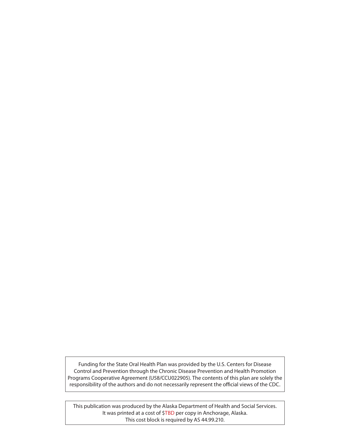Funding for the State Oral Health Plan was provided by the U.S. Centers for Disease Control and Prevention through the Chronic Disease Prevention and Health Promotion Programs Cooperative Agreement (U58/CCU022905). The contents of this plan are solely the responsibility of the authors and do not necessarily represent the official views of the CDC.

This publication was produced by the Alaska Department of Health and Social Services. It was printed at a cost of \$TBD per copy in Anchorage, Alaska. This cost block is required by AS 44.99.210.